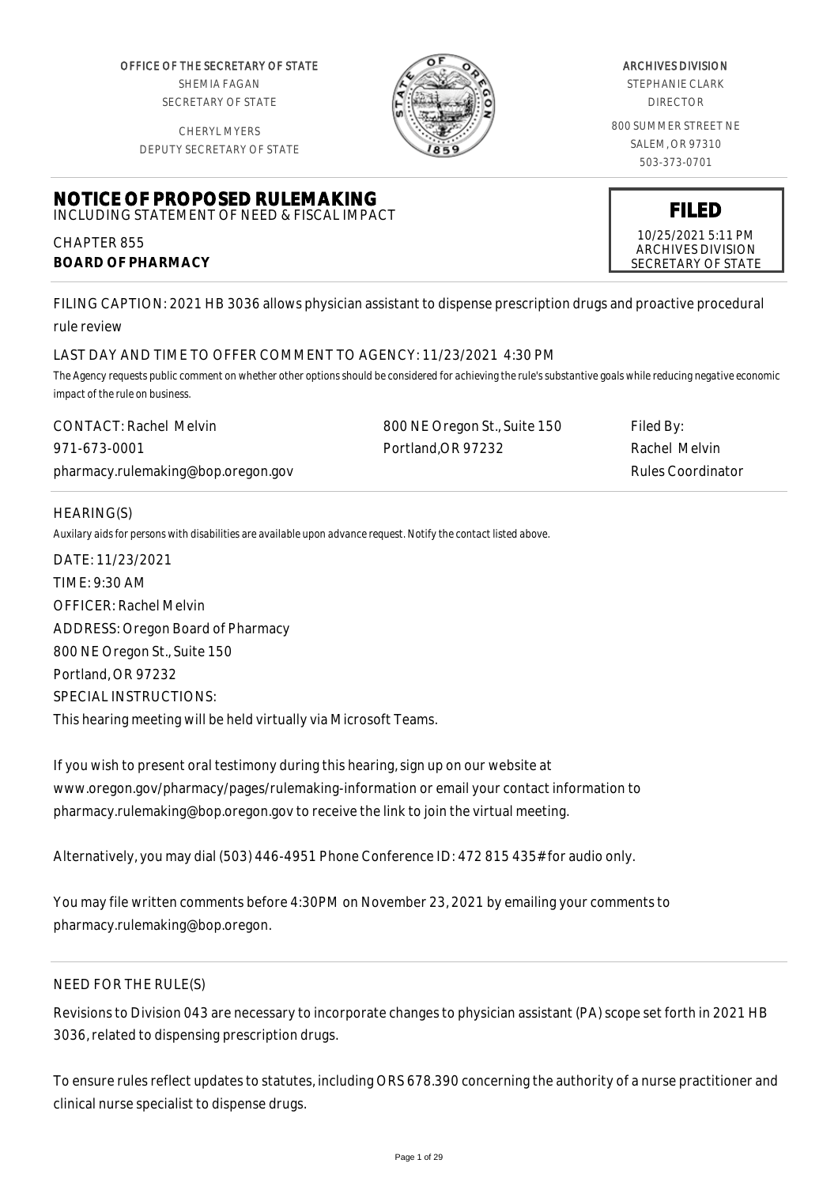OFFICE OF THE SECRETARY OF STATE SHEMIA FAGAN SECRETARY OF STATE

CHERYL MYERS



### ARCHIVES DIVISION

STEPHANIE CLARK DIRECTOR

800 SUMMER STREET NE SALEM, OR 97310 503-373-0701

> **FILED** 10/25/2021 5:11 PM ARCHIVES DIVISION SECRETARY OF STATE

DEPUTY SECRETARY OF STATE

#### **NOTICE OF PROPOSED RULEMAKING** INCLUDING STATEMENT OF NEED & FISCAL IMPACT

CHAPTER 855 **BOARD OF PHARMACY**

FILING CAPTION: 2021 HB 3036 allows physician assistant to dispense prescription drugs and proactive procedural rule review

# LAST DAY AND TIME TO OFFER COMMENT TO AGENCY: 11/23/2021 4:30 PM

*The Agency requests public comment on whether other options should be considered for achieving the rule's substantive goals while reducing negative economic impact of the rule on business.*

| <b>CONTACT: Rachel Melvin</b>      | 800 NE Oregon St., Suite 150 | Filed By:         |
|------------------------------------|------------------------------|-------------------|
| 971-673-0001                       | Portland.OR 97232            | Rachel Melvin     |
| pharmacy.rulemaking@bop.oregon.gov |                              | Rules Coordinator |

## HEARING(S)

*Auxilary aids for persons with disabilities are available upon advance request. Notify the contact listed above.*

DATE: 11/23/2021 TIME: 9:30 AM OFFICER: Rachel Melvin ADDRESS: Oregon Board of Pharmacy 800 NE Oregon St., Suite 150 Portland, OR 97232 SPECIAL INSTRUCTIONS: This hearing meeting will be held virtually via Microsoft Teams.

If you wish to present oral testimony during this hearing, sign up on our website at www.oregon.gov/pharmacy/pages/rulemaking-information or email your contact information to pharmacy.rulemaking@bop.oregon.gov to receive the link to join the virtual meeting.

Alternatively, you may dial (503) 446-4951 Phone Conference ID: 472 815 435# for audio only.

You may file written comments before 4:30PM on November 23, 2021 by emailing your comments to pharmacy.rulemaking@bop.oregon.

# NEED FOR THE RULE(S)

Revisions to Division 043 are necessary to incorporate changes to physician assistant (PA) scope set forth in 2021 HB 3036, related to dispensing prescription drugs.

To ensure rules reflect updates to statutes, including ORS 678.390 concerning the authority of a nurse practitioner and clinical nurse specialist to dispense drugs.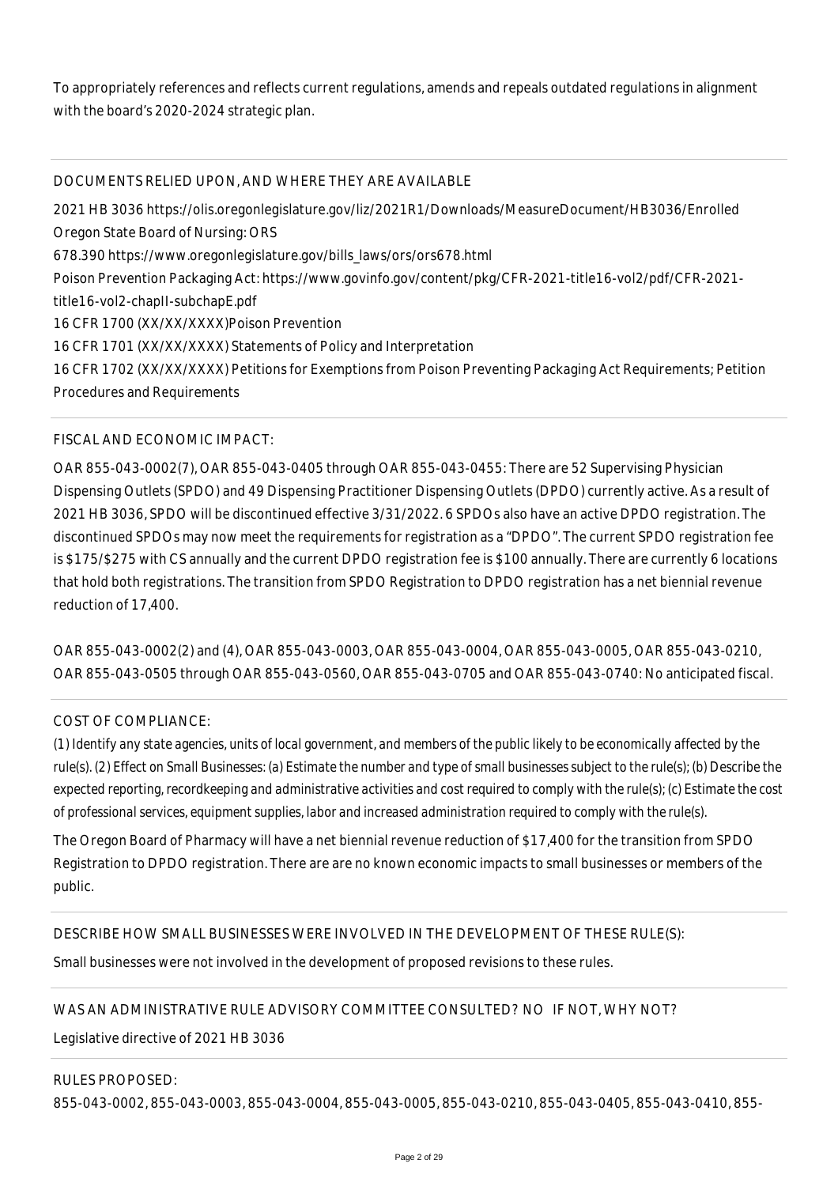To appropriately references and reflects current regulations, amends and repeals outdated regulations in alignment with the board's 2020-2024 strategic plan.

# DOCUMENTS RELIED UPON, AND WHERE THEY ARE AVAILABLE

2021 HB 3036 https://olis.oregonlegislature.gov/liz/2021R1/Downloads/MeasureDocument/HB3036/Enrolled Oregon State Board of Nursing: ORS 678.390 https://www.oregonlegislature.gov/bills\_laws/ors/ors678.html Poison Prevention Packaging Act: https://www.govinfo.gov/content/pkg/CFR-2021-title16-vol2/pdf/CFR-2021 title16-vol2-chapII-subchapE.pdf 16 CFR 1700 (XX/XX/XXXX)Poison Prevention 16 CFR 1701 (XX/XX/XXXX) Statements of Policy and Interpretation 16 CFR 1702 (XX/XX/XXXX) Petitions for Exemptions from Poison Preventing Packaging Act Requirements; Petition Procedures and Requirements

# FISCAL AND ECONOMIC IMPACT:

OAR 855-043-0002(7), OAR 855-043-0405 through OAR 855-043-0455: There are 52 Supervising Physician Dispensing Outlets (SPDO) and 49 Dispensing Practitioner Dispensing Outlets (DPDO) currently active. As a result of 2021 HB 3036, SPDO will be discontinued effective 3/31/2022. 6 SPDOs also have an active DPDO registration. The discontinued SPDOs may now meet the requirements for registration as a "DPDO". The current SPDO registration fee is \$175/\$275 with CS annually and the current DPDO registration fee is \$100 annually. There are currently 6 locations that hold both registrations. The transition from SPDO Registration to DPDO registration has a net biennial revenue reduction of 17,400.

OAR 855-043-0002(2) and (4), OAR 855-043-0003, OAR 855-043-0004, OAR 855-043-0005, OAR 855-043-0210, OAR 855-043-0505 through OAR 855-043-0560, OAR 855-043-0705 and OAR 855-043-0740: No anticipated fiscal.

### COST OF COMPLIANCE:

*(1) Identify any state agencies, units of local government, and members of the public likely to be economically affected by the rule(s). (2) Effect on Small Businesses: (a) Estimate the number and type of small businesses subject to the rule(s); (b) Describe the expected reporting, recordkeeping and administrative activities and cost required to comply with the rule(s); (c) Estimate the cost of professional services, equipment supplies, labor and increased administration required to comply with the rule(s).*

The Oregon Board of Pharmacy will have a net biennial revenue reduction of \$17,400 for the transition from SPDO Registration to DPDO registration. There are are no known economic impacts to small businesses or members of the public.

DESCRIBE HOW SMALL BUSINESSES WERE INVOLVED IN THE DEVELOPMENT OF THESE RULE(S):

Small businesses were not involved in the development of proposed revisions to these rules.

# WAS AN ADMINISTRATIVE RULE ADVISORY COMMITTEE CONSULTED? NO IF NOT, WHY NOT?

Legislative directive of 2021 HB 3036

### RULES PROPOSED:

855-043-0002, 855-043-0003, 855-043-0004, 855-043-0005, 855-043-0210, 855-043-0405, 855-043-0410, 855-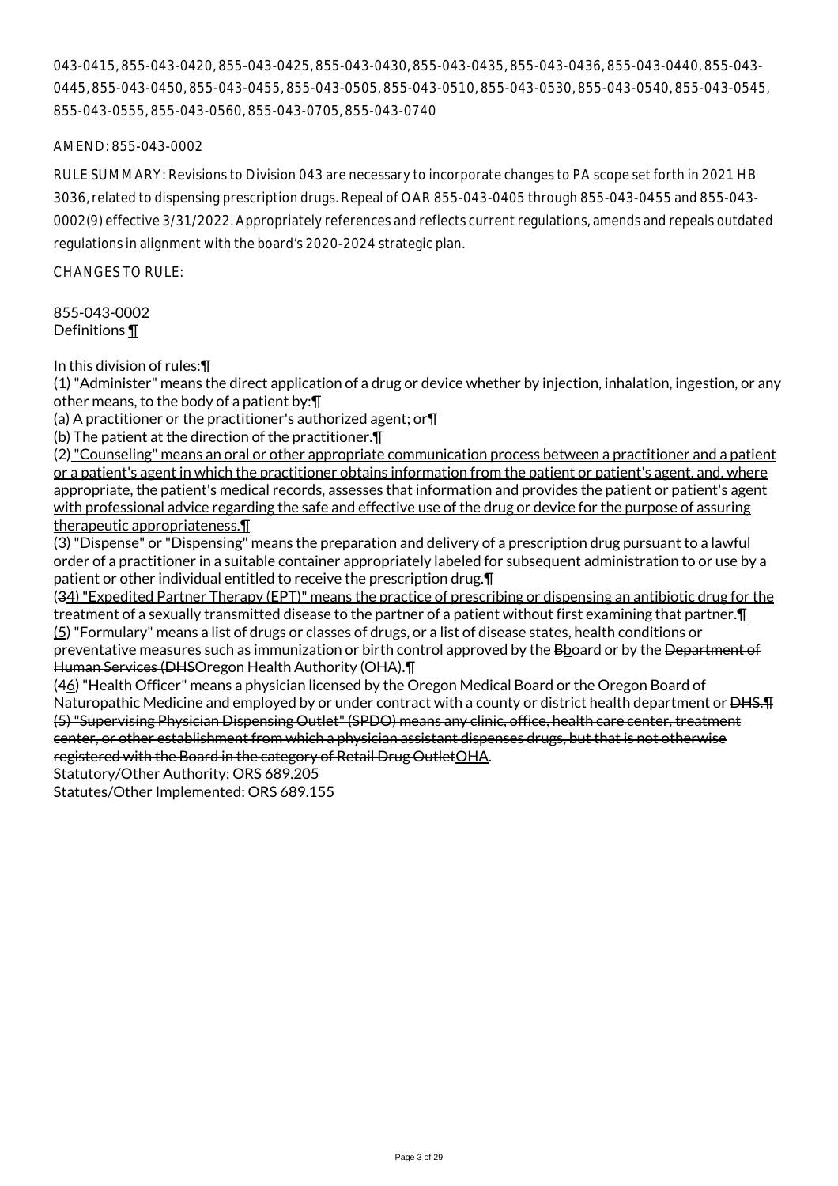043-0415, 855-043-0420, 855-043-0425, 855-043-0430, 855-043-0435, 855-043-0436, 855-043-0440, 855-043- 0445, 855-043-0450, 855-043-0455, 855-043-0505, 855-043-0510, 855-043-0530, 855-043-0540, 855-043-0545, 855-043-0555, 855-043-0560, 855-043-0705, 855-043-0740

## AMEND: 855-043-0002

RULE SUMMARY: Revisions to Division 043 are necessary to incorporate changes to PA scope set forth in 2021 HB 3036, related to dispensing prescription drugs. Repeal of OAR 855-043-0405 through 855-043-0455 and 855-043- 0002(9) effective 3/31/2022. Appropriately references and reflects current regulations, amends and repeals outdated regulations in alignment with the board's 2020-2024 strategic plan.

CHANGES TO RULE:

855-043-0002 Definitions ¶

In this division of rules:¶

(1) "Administer" means the direct application of a drug or device whether by injection, inhalation, ingestion, or any other means, to the body of a patient by:¶

(a) A practitioner or the practitioner's authorized agent; or¶

(b) The patient at the direction of the practitioner.¶

(2) "Counseling" means an oral or other appropriate communication process between a practitioner and a patient or a patient's agent in which the practitioner obtains information from the patient or patient's agent, and, where appropriate, the patient's medical records, assesses that information and provides the patient or patient's agent with professional advice regarding the safe and effective use of the drug or device for the purpose of assuring therapeutic appropriateness.¶

(3) "Dispense" or "Dispensing" means the preparation and delivery of a prescription drug pursuant to a lawful order of a practitioner in a suitable container appropriately labeled for subsequent administration to or use by a patient or other individual entitled to receive the prescription drug.¶

(34) "Expedited Partner Therapy (EPT)" means the practice of prescribing or dispensing an antibiotic drug for the treatment of a sexually transmitted disease to the partner of a patient without first examining that partner.¶ (5) "Formulary" means a list of drugs or classes of drugs, or a list of disease states, health conditions or preventative measures such as immunization or birth control approved by the Bboard or by the Department of Human Services (DHSOregon Health Authority (OHA).¶

(46) "Health Officer" means a physician licensed by the Oregon Medical Board or the Oregon Board of Naturopathic Medicine and employed by or under contract with a county or district health department or <del>DHS.¶</del> (5) "Supervising Physician Dispensing Outlet" (SPDO) means any clinic, office, health care center, treatment center, or other establishment from which a physician assistant dispenses drugs, but that is not otherwise registered with the Board in the category of Retail Drug OutletOHA.

Statutory/Other Authority: ORS 689.205

Statutes/Other Implemented: ORS 689.155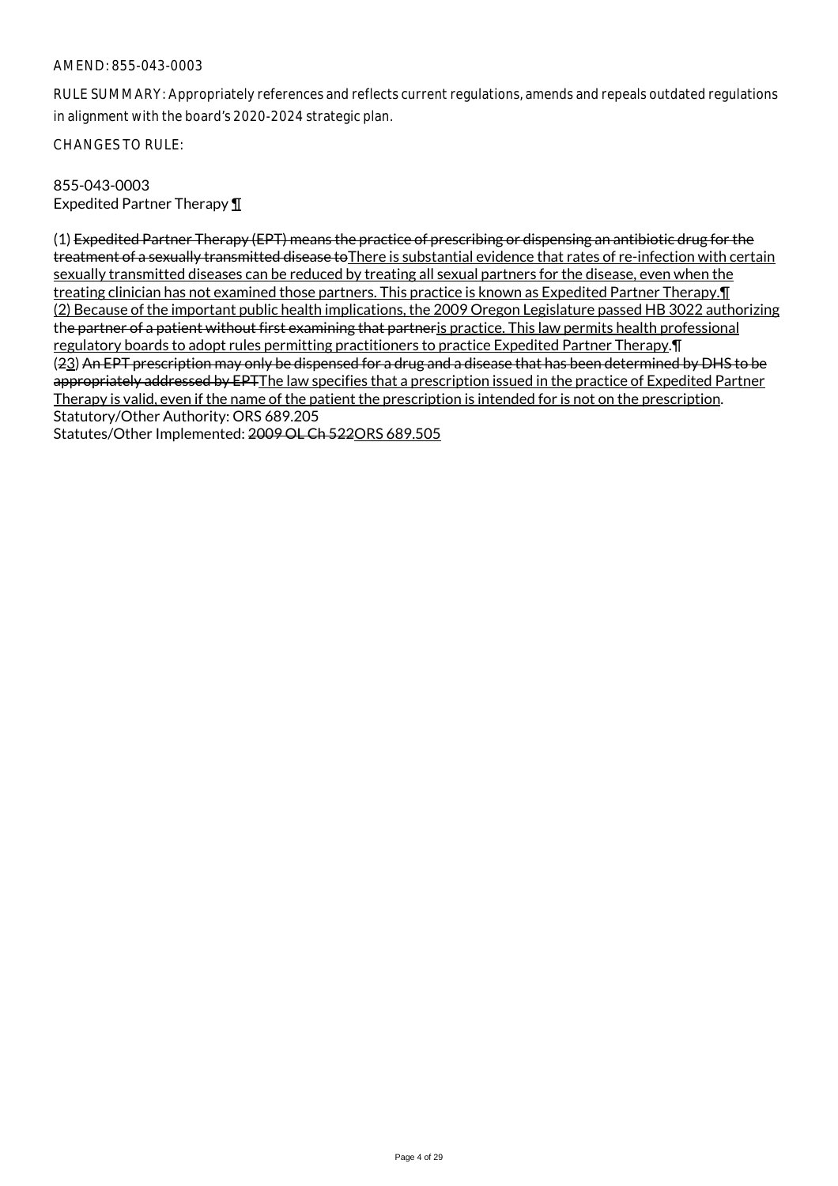RULE SUMMARY: Appropriately references and reflects current regulations, amends and repeals outdated regulations in alignment with the board's 2020-2024 strategic plan.

CHANGES TO RULE:

855-043-0003 Expedited Partner Therapy ¶

(1) Expedited Partner Therapy (EPT) means the practice of prescribing or dispensing an antibiotic drug for the treatment of a sexually transmitted disease to There is substantial evidence that rates of re-infection with certain sexually transmitted diseases can be reduced by treating all sexual partners for the disease, even when the treating clinician has not examined those partners. This practice is known as Expedited Partner Therapy.¶ (2) Because of the important public health implications, the 2009 Oregon Legislature passed HB 3022 authorizing the partner of a patient without first examining that partner is practice. This law permits health professional regulatory boards to adopt rules permitting practitioners to practice Expedited Partner Therapy.¶ (23) An EPT prescription may only be dispensed for a drug and a disease that has been determined by DHS to be appropriately addressed by EPTThe law specifies that a prescription issued in the practice of Expedited Partner Therapy is valid, even if the name of the patient the prescription is intended for is not on the prescription. Statutory/Other Authority: ORS 689.205

Statutes/Other Implemented: 2009 OL Ch 522ORS 689.505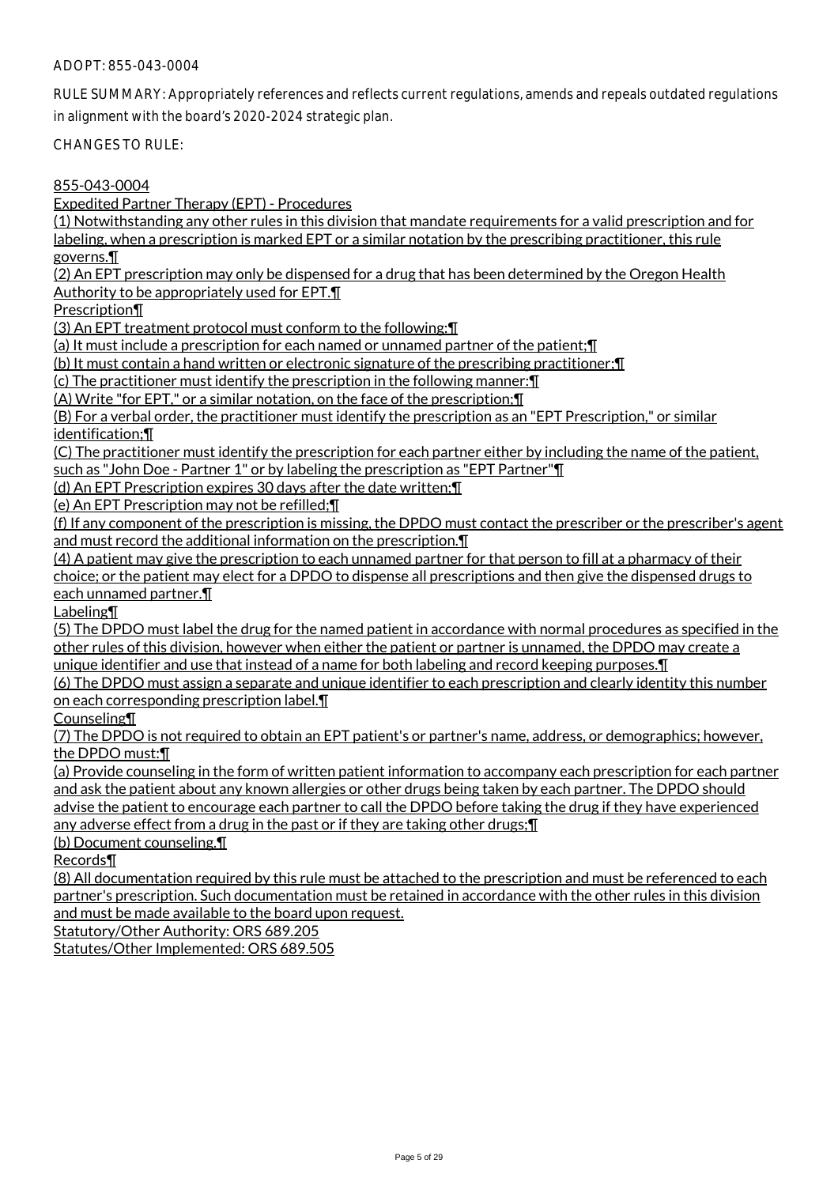## ADOPT: 855-043-0004

RULE SUMMARY: Appropriately references and reflects current regulations, amends and repeals outdated regulations in alignment with the board's 2020-2024 strategic plan.

CHANGES TO RULE:

855-043-0004

Expedited Partner Therapy (EPT) - Procedures

(1) Notwithstanding any other rules in this division that mandate requirements for a valid prescription and for labeling, when a prescription is marked EPT or a similar notation by the prescribing practitioner, this rule governs.¶

(2) An EPT prescription may only be dispensed for a drug that has been determined by the Oregon Health

Authority to be appropriately used for EPT.¶

Prescription¶

(3) An EPT treatment protocol must conform to the following:¶

(a) It must include a prescription for each named or unnamed partner of the patient;¶

(b) It must contain a hand written or electronic signature of the prescribing practitioner;¶

(c) The practitioner must identify the prescription in the following manner:¶

(A) Write "for EPT," or a similar notation, on the face of the prescription;¶

(B) For a verbal order, the practitioner must identify the prescription as an "EPT Prescription," or similar identification;¶

(C) The practitioner must identify the prescription for each partner either by including the name of the patient,

such as "John Doe - Partner 1" or by labeling the prescription as "EPT Partner"¶

(d) An EPT Prescription expires 30 days after the date written;¶

(e) An EPT Prescription may not be refilled;¶

(f) If any component of the prescription is missing, the DPDO must contact the prescriber or the prescriber's agent and must record the additional information on the prescription.¶

(4) A patient may give the prescription to each unnamed partner for that person to fill at a pharmacy of their choice; or the patient may elect for a DPDO to dispense all prescriptions and then give the dispensed drugs to each unnamed partner.¶

Labeling¶

(5) The DPDO must label the drug for the named patient in accordance with normal procedures as specified in the other rules of this division, however when either the patient or partner is unnamed, the DPDO may create a unique identifier and use that instead of a name for both labeling and record keeping purposes.¶

(6) The DPDO must assign a separate and unique identifier to each prescription and clearly identity this number on each corresponding prescription label.¶

Counseling¶

(7) The DPDO is not required to obtain an EPT patient's or partner's name, address, or demographics; however, the DPDO must:¶

(a) Provide counseling in the form of written patient information to accompany each prescription for each partner and ask the patient about any known allergies or other drugs being taken by each partner. The DPDO should advise the patient to encourage each partner to call the DPDO before taking the drug if they have experienced any adverse effect from a drug in the past or if they are taking other drugs;¶

(b) Document counseling.¶

Records¶

(8) All documentation required by this rule must be attached to the prescription and must be referenced to each partner's prescription. Such documentation must be retained in accordance with the other rules in this division and must be made available to the board upon request.

Statutory/Other Authority: ORS 689.205

Statutes/Other Implemented: ORS 689.505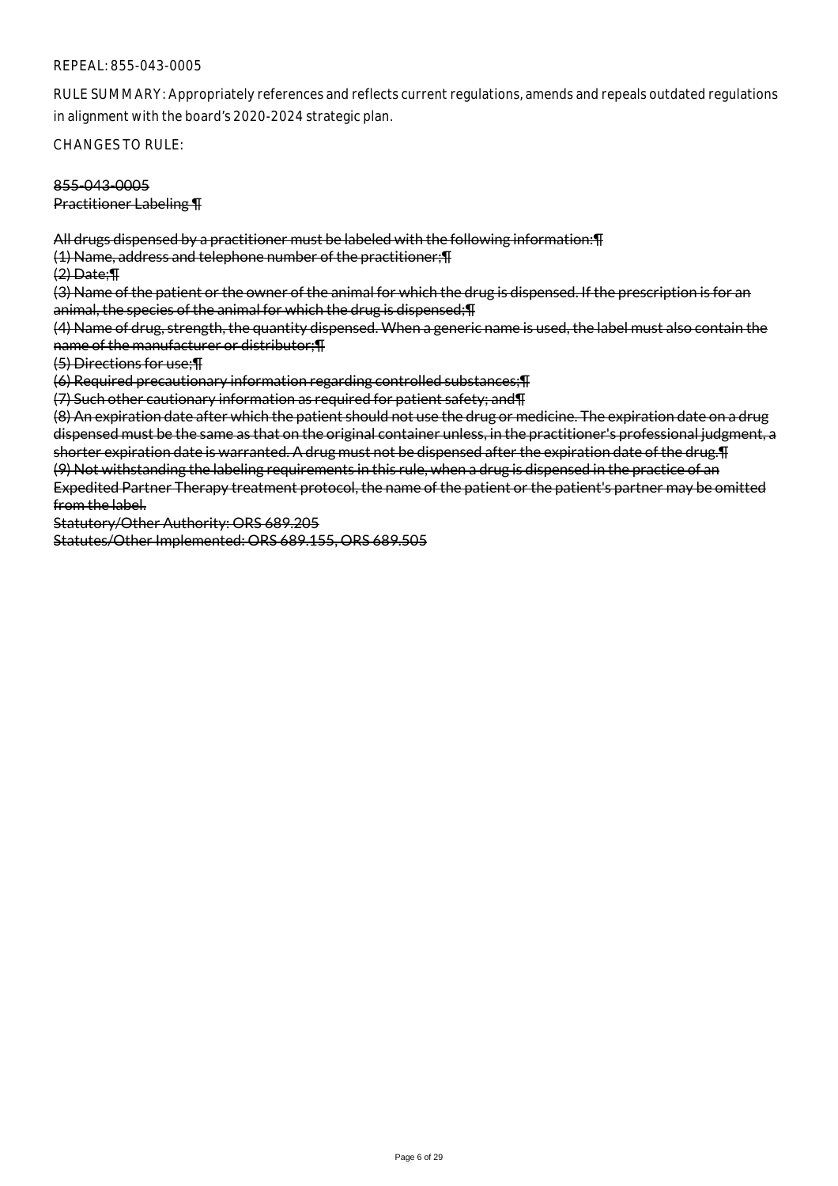RULE SUMMARY: Appropriately references and reflects current regulations, amends and repeals outdated regulations in alignment with the board's 2020-2024 strategic plan.

CHANGES TO RULE:

855-043-0005

Practitioner Labeling ¶

All drugs dispensed by a practitioner must be labeled with the following information:¶

(1) Name, address and telephone number of the practitioner;¶

(2) Date;¶

(3) Name of the patient or the owner of the animal for which the drug is dispensed. If the prescription is for an animal, the species of the animal for which the drug is dispensed;¶

(4) Name of drug, strength, the quantity dispensed. When a generic name is used, the label must also contain the name of the manufacturer or distributor;¶

(5) Directions for use;¶

(6) Required precautionary information regarding controlled substances;¶

(7) Such other cautionary information as required for patient safety; and¶

(8) An expiration date after which the patient should not use the drug or medicine. The expiration date on a drug dispensed must be the same as that on the original container unless, in the practitioner's professional judgment, a shorter expiration date is warranted. A drug must not be dispensed after the expiration date of the drug.¶

(9) Not withstanding the labeling requirements in this rule, when a drug is dispensed in the practice of an Expedited Partner Therapy treatment protocol, the name of the patient or the patient's partner may be omitted from the label.

Statutory/Other Authority: ORS 689.205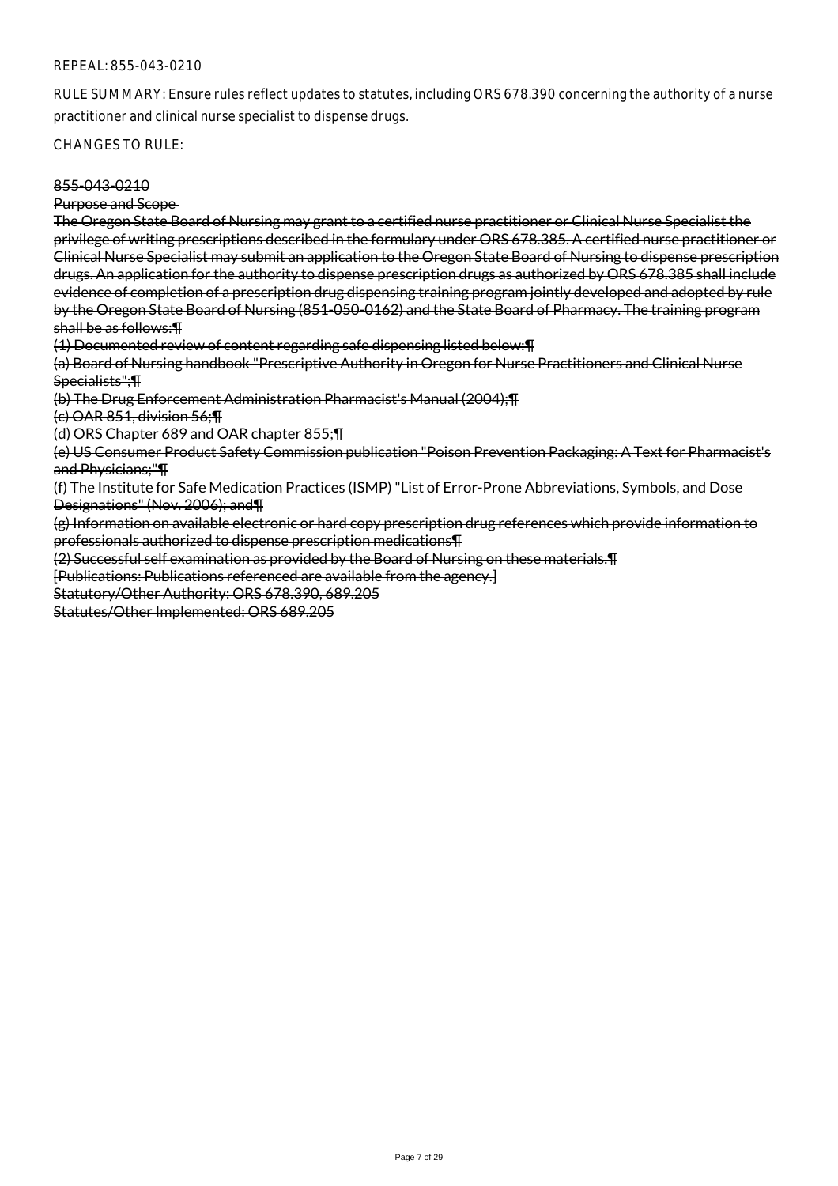RULE SUMMARY: Ensure rules reflect updates to statutes, including ORS 678.390 concerning the authority of a nurse practitioner and clinical nurse specialist to dispense drugs.

CHANGES TO RULE:

## 855-043-0210

Purpose and Scope

The Oregon State Board of Nursing may grant to a certified nurse practitioner or Clinical Nurse Specialist the privilege of writing prescriptions described in the formulary under ORS 678.385. A certified nurse practitioner or Clinical Nurse Specialist may submit an application to the Oregon State Board of Nursing to dispense prescription drugs. An application for the authority to dispense prescription drugs as authorized by ORS 678.385 shall include evidence of completion of a prescription drug dispensing training program jointly developed and adopted by rule by the Oregon State Board of Nursing (851-050-0162) and the State Board of Pharmacy. The training program shall be as follows:¶

(1) Documented review of content regarding safe dispensing listed below:¶

(a) Board of Nursing handbook "Prescriptive Authority in Oregon for Nurse Practitioners and Clinical Nurse Specialists";¶

(b) The Drug Enforcement Administration Pharmacist's Manual (2004);¶

(c) OAR 851, division 56;¶

(d) ORS Chapter 689 and OAR chapter 855;¶

(e) US Consumer Product Safety Commission publication "Poison Prevention Packaging: A Text for Pharmacist's and Physicians;"¶

(f) The Institute for Safe Medication Practices (ISMP) "List of Error-Prone Abbreviations, Symbols, and Dose Designations" (Nov. 2006); and¶

(g) Information on available electronic or hard copy prescription drug references which provide information to professionals authorized to dispense prescription medications¶

(2) Successful self examination as provided by the Board of Nursing on these materials.¶

[Publications: Publications referenced are available from the agency.]

Statutory/Other Authority: ORS 678.390, 689.205

Statutes/Other Implemented: ORS 689.205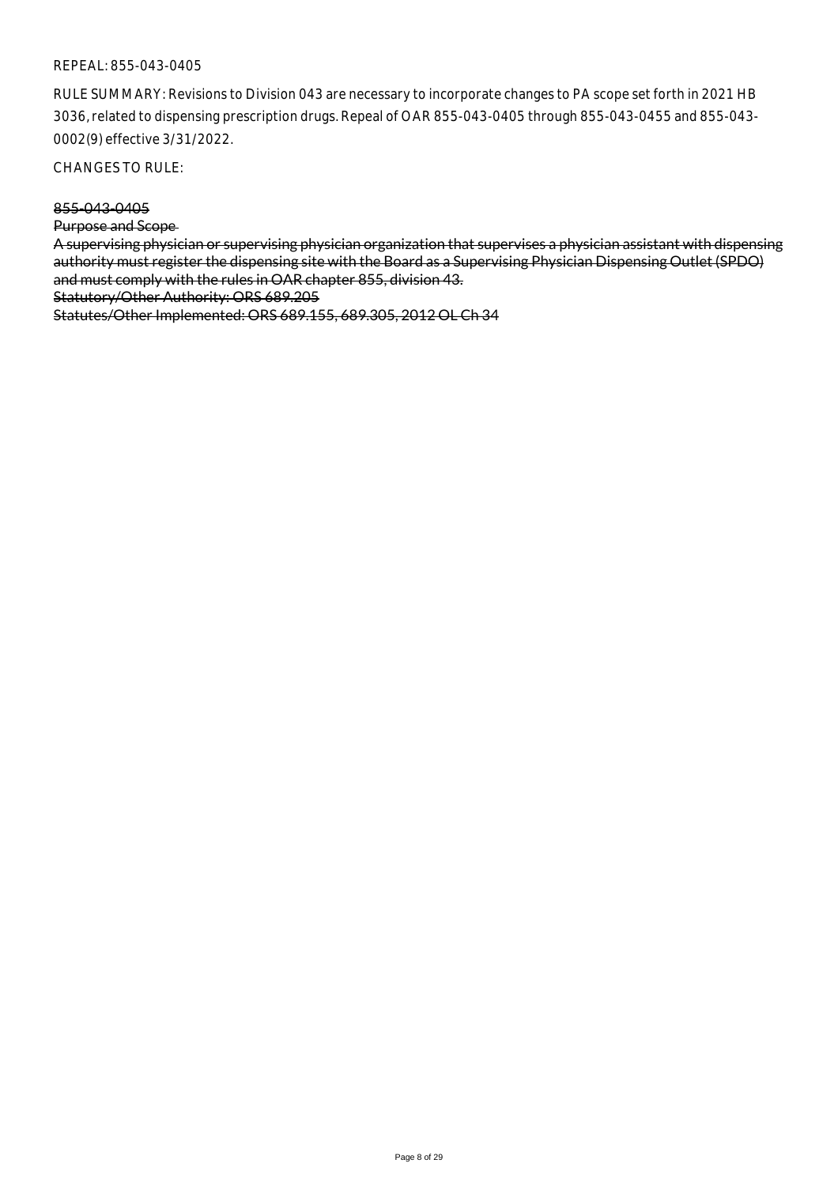RULE SUMMARY: Revisions to Division 043 are necessary to incorporate changes to PA scope set forth in 2021 HB 3036, related to dispensing prescription drugs. Repeal of OAR 855-043-0405 through 855-043-0455 and 855-043- 0002(9) effective 3/31/2022.

CHANGES TO RULE:

### 855-043-0405

Purpose and Scope

A supervising physician or supervising physician organization that supervises a physician assistant with dispensing authority must register the dispensing site with the Board as a Supervising Physician Dispensing Outlet (SPDO) and must comply with the rules in OAR chapter 855, division 43.

Statutory/Other Authority: ORS 689.205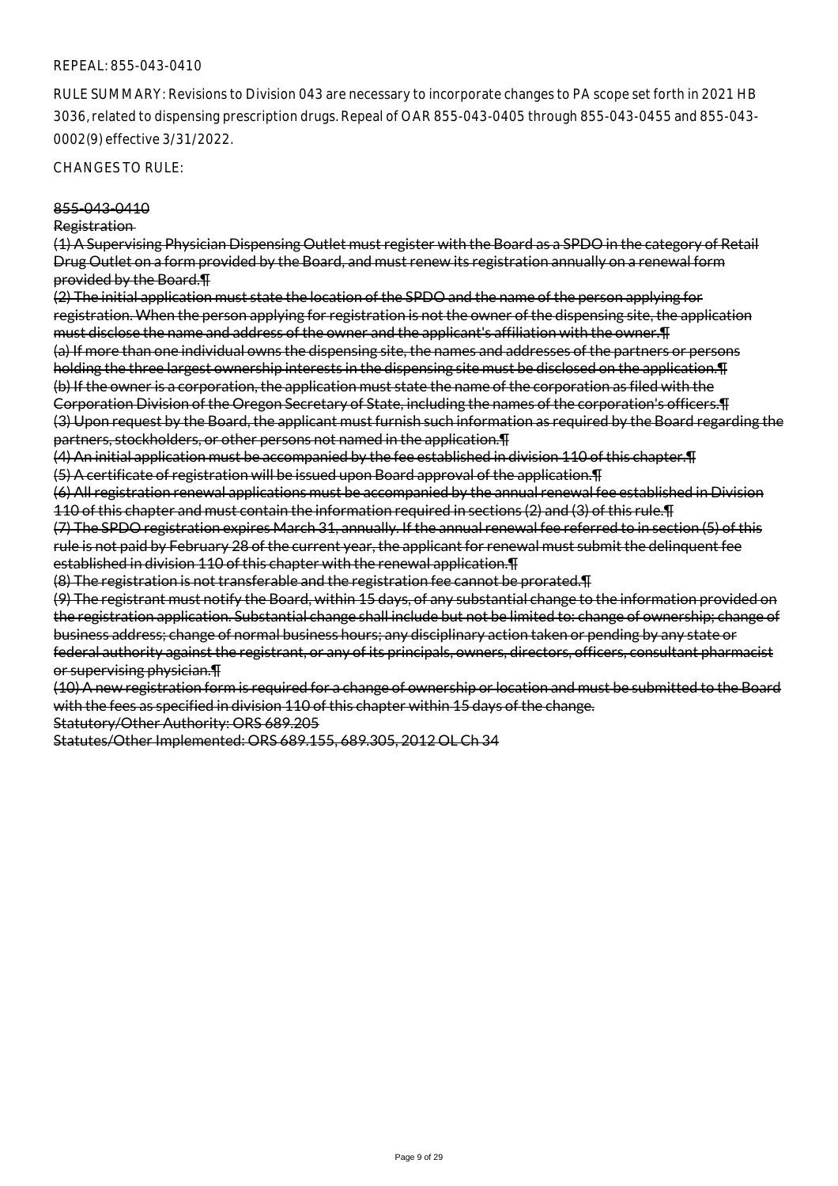RULE SUMMARY: Revisions to Division 043 are necessary to incorporate changes to PA scope set forth in 2021 HB 3036, related to dispensing prescription drugs. Repeal of OAR 855-043-0405 through 855-043-0455 and 855-043- 0002(9) effective 3/31/2022.

CHANGES TO RULE:

#### 855-043-0410

#### Registration

(1) A Supervising Physician Dispensing Outlet must register with the Board as a SPDO in the category of Retail Drug Outlet on a form provided by the Board, and must renew its registration annually on a renewal form provided by the Board.¶

(2) The initial application must state the location of the SPDO and the name of the person applying for registration. When the person applying for registration is not the owner of the dispensing site, the application must disclose the name and address of the owner and the applicant's affiliation with the owner.¶ (a) If more than one individual owns the dispensing site, the names and addresses of the partners or persons holding the three largest ownership interests in the dispensing site must be disclosed on the application.¶ (b) If the owner is a corporation, the application must state the name of the corporation as filed with the Corporation Division of the Oregon Secretary of State, including the names of the corporation's officers.¶ (3) Upon request by the Board, the applicant must furnish such information as required by the Board regarding the partners, stockholders, or other persons not named in the application.¶

(4) An initial application must be accompanied by the fee established in division 110 of this chapter.¶

(5) A certificate of registration will be issued upon Board approval of the application.¶

(6) All registration renewal applications must be accompanied by the annual renewal fee established in Division 110 of this chapter and must contain the information required in sections (2) and (3) of this rule.¶

(7) The SPDO registration expires March 31, annually. If the annual renewal fee referred to in section (5) of this rule is not paid by February 28 of the current year, the applicant for renewal must submit the delinquent fee established in division 110 of this chapter with the renewal application.¶

(8) The registration is not transferable and the registration fee cannot be prorated.¶

(9) The registrant must notify the Board, within 15 days, of any substantial change to the information provided on the registration application. Substantial change shall include but not be limited to: change of ownership; change of business address; change of normal business hours; any disciplinary action taken or pending by any state or federal authority against the registrant, or any of its principals, owners, directors, officers, consultant pharmacist or supervising physician.¶

(10) A new registration form is required for a change of ownership or location and must be submitted to the Board with the fees as specified in division 110 of this chapter within 15 days of the change.

Statutory/Other Authority: ORS 689.205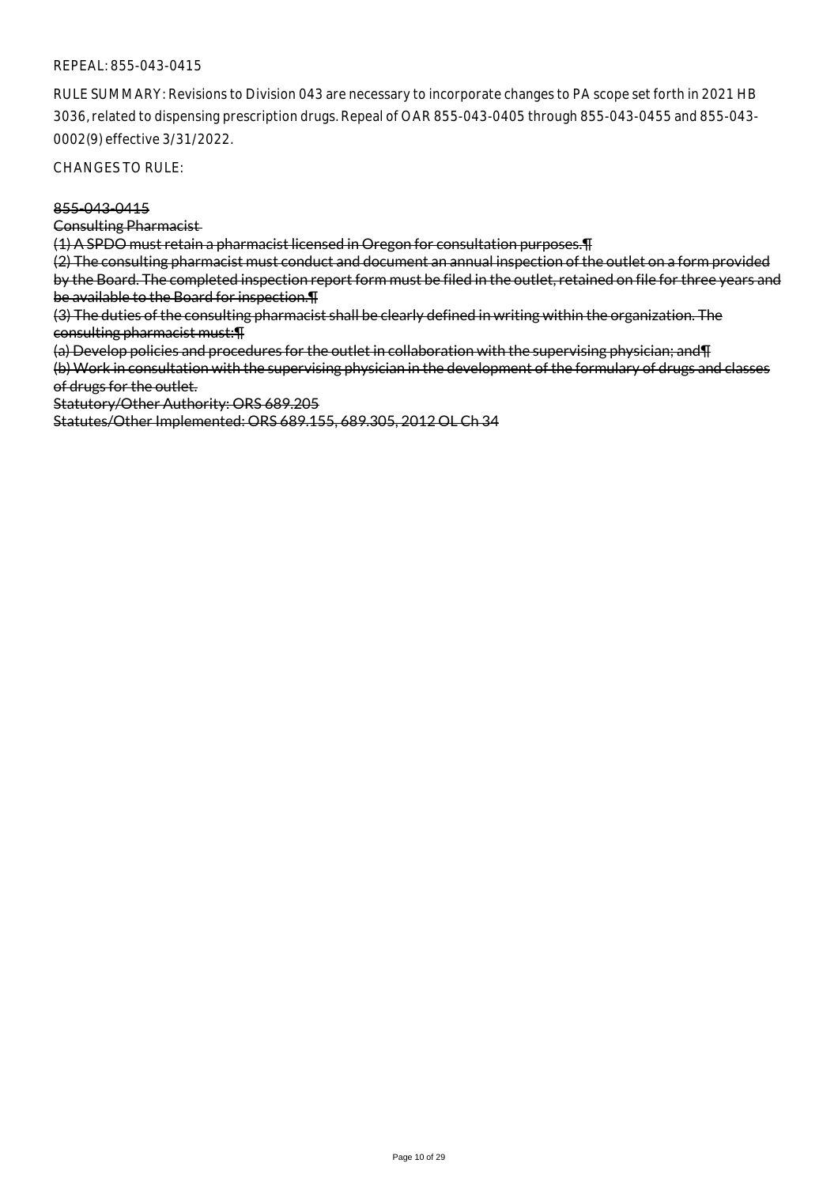RULE SUMMARY: Revisions to Division 043 are necessary to incorporate changes to PA scope set forth in 2021 HB 3036, related to dispensing prescription drugs. Repeal of OAR 855-043-0405 through 855-043-0455 and 855-043- 0002(9) effective 3/31/2022.

CHANGES TO RULE:

### 855-043-0415

Consulting Pharmacist

(1) A SPDO must retain a pharmacist licensed in Oregon for consultation purposes.¶

(2) The consulting pharmacist must conduct and document an annual inspection of the outlet on a form provided by the Board. The completed inspection report form must be filed in the outlet, retained on file for three years and be available to the Board for inspection.¶

(3) The duties of the consulting pharmacist shall be clearly defined in writing within the organization. The consulting pharmacist must:¶

(a) Develop policies and procedures for the outlet in collaboration with the supervising physician; and¶

(b) Work in consultation with the supervising physician in the development of the formulary of drugs and classes of drugs for the outlet.

Statutory/Other Authority: ORS 689.205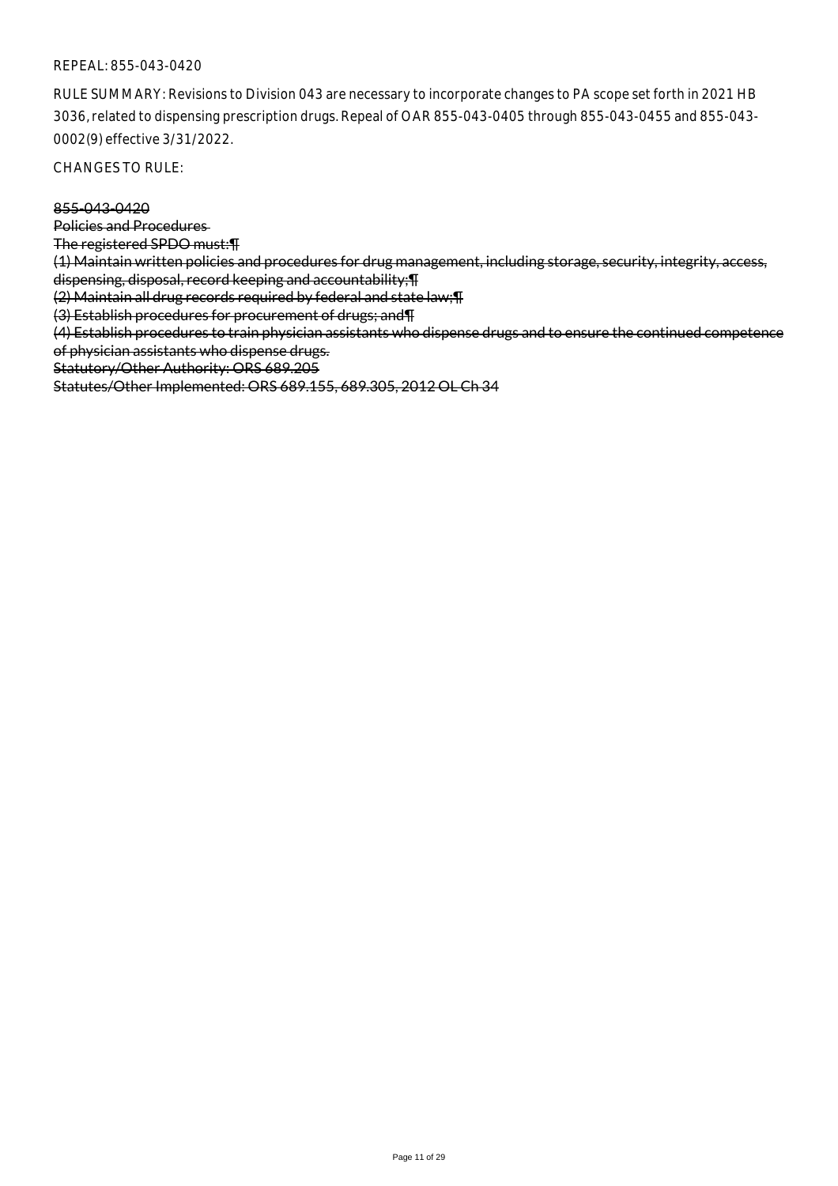RULE SUMMARY: Revisions to Division 043 are necessary to incorporate changes to PA scope set forth in 2021 HB 3036, related to dispensing prescription drugs. Repeal of OAR 855-043-0405 through 855-043-0455 and 855-043- 0002(9) effective 3/31/2022.

CHANGES TO RULE:

855-043-0420

Policies and Procedures

The registered SPDO must:¶

(1) Maintain written policies and procedures for drug management, including storage, security, integrity, access, dispensing, disposal, record keeping and accountability;¶

(2) Maintain all drug records required by federal and state law;¶

(3) Establish procedures for procurement of drugs; and¶

(4) Establish procedures to train physician assistants who dispense drugs and to ensure the continued competence of physician assistants who dispense drugs.

Statutory/Other Authority: ORS 689.205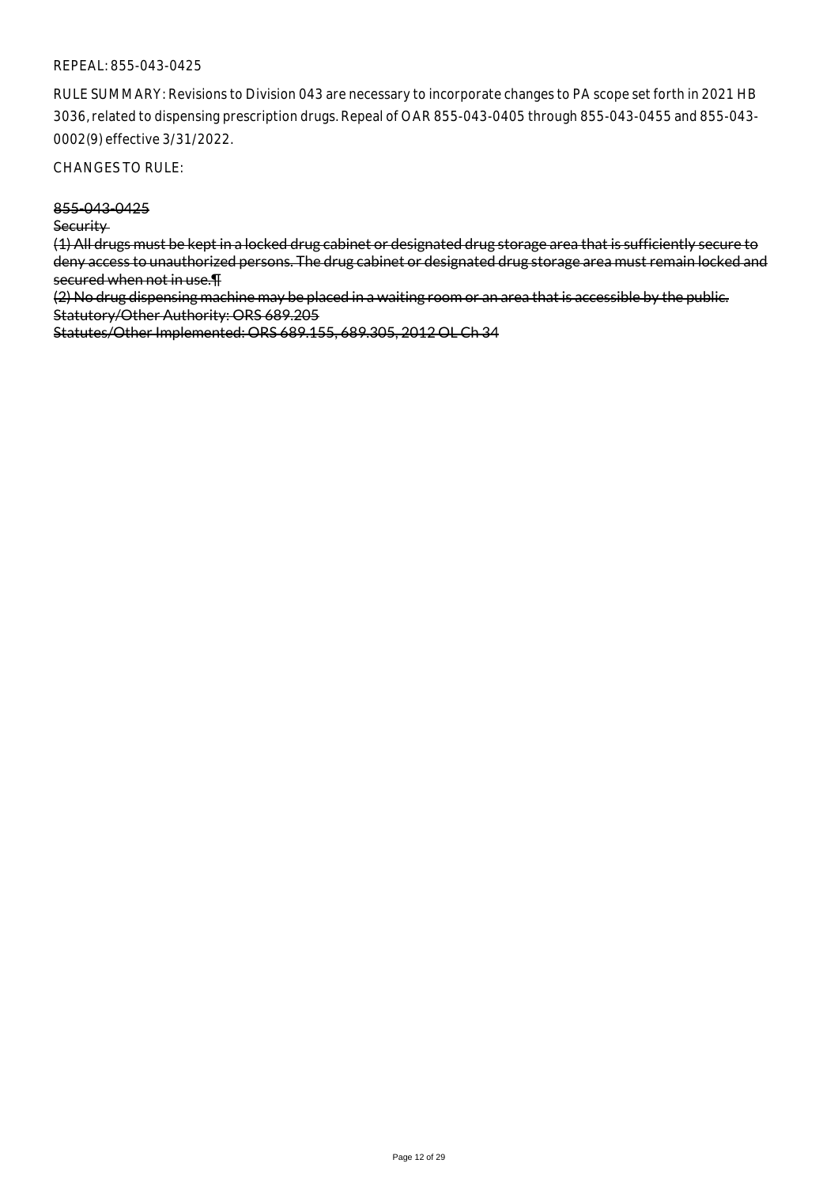RULE SUMMARY: Revisions to Division 043 are necessary to incorporate changes to PA scope set forth in 2021 HB 3036, related to dispensing prescription drugs. Repeal of OAR 855-043-0405 through 855-043-0455 and 855-043- 0002(9) effective 3/31/2022.

CHANGES TO RULE:

855-043-0425

**Security** 

(1) All drugs must be kept in a locked drug cabinet or designated drug storage area that is sufficiently secure to deny access to unauthorized persons. The drug cabinet or designated drug storage area must remain locked and secured when not in use.¶

(2) No drug dispensing machine may be placed in a waiting room or an area that is accessible by the public. Statutory/Other Authority: ORS 689.205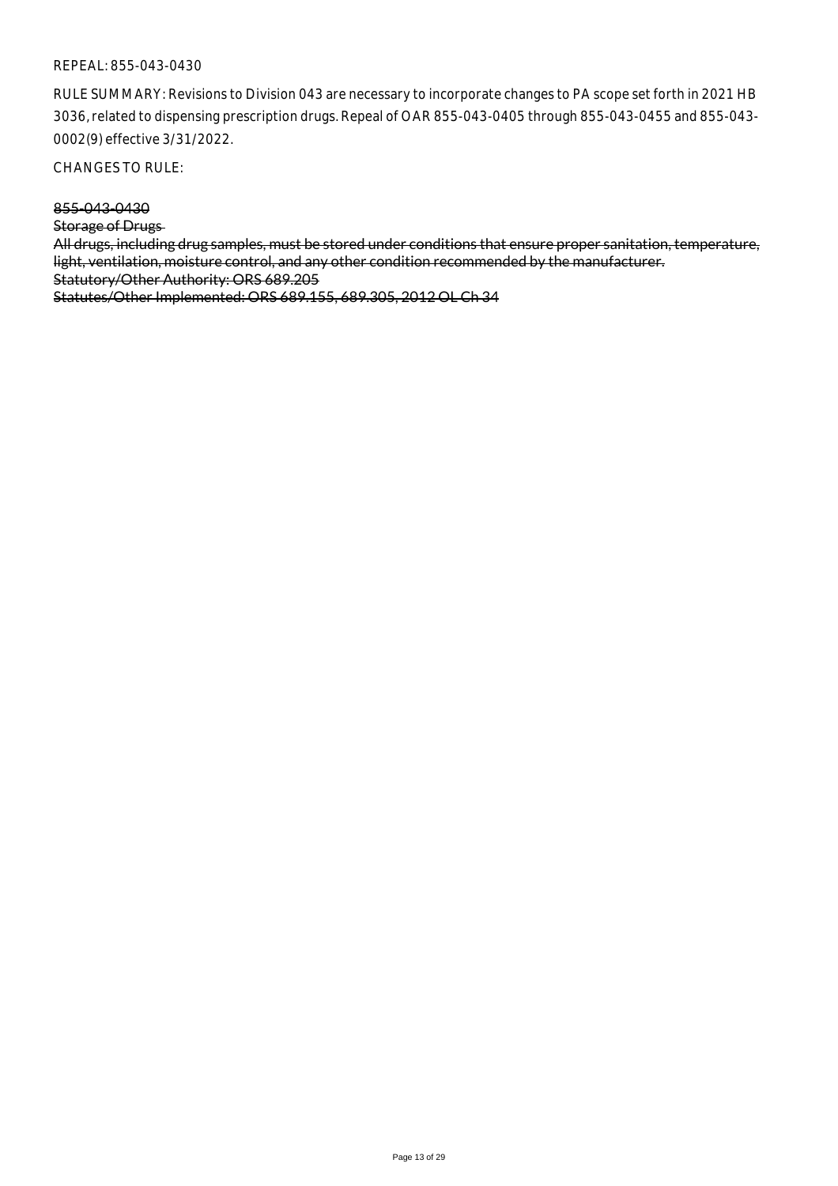RULE SUMMARY: Revisions to Division 043 are necessary to incorporate changes to PA scope set forth in 2021 HB 3036, related to dispensing prescription drugs. Repeal of OAR 855-043-0405 through 855-043-0455 and 855-043- 0002(9) effective 3/31/2022.

CHANGES TO RULE:

855-043-0430

Storage of Drugs

All drugs, including drug samples, must be stored under conditions that ensure proper sanitation, temperature, light, ventilation, moisture control, and any other condition recommended by the manufacturer. Statutory/Other Authority: ORS 689.205 Statutes/Other Implemented: ORS 689.155, 689.305, 2012 OL Ch 34

Page 13 of 29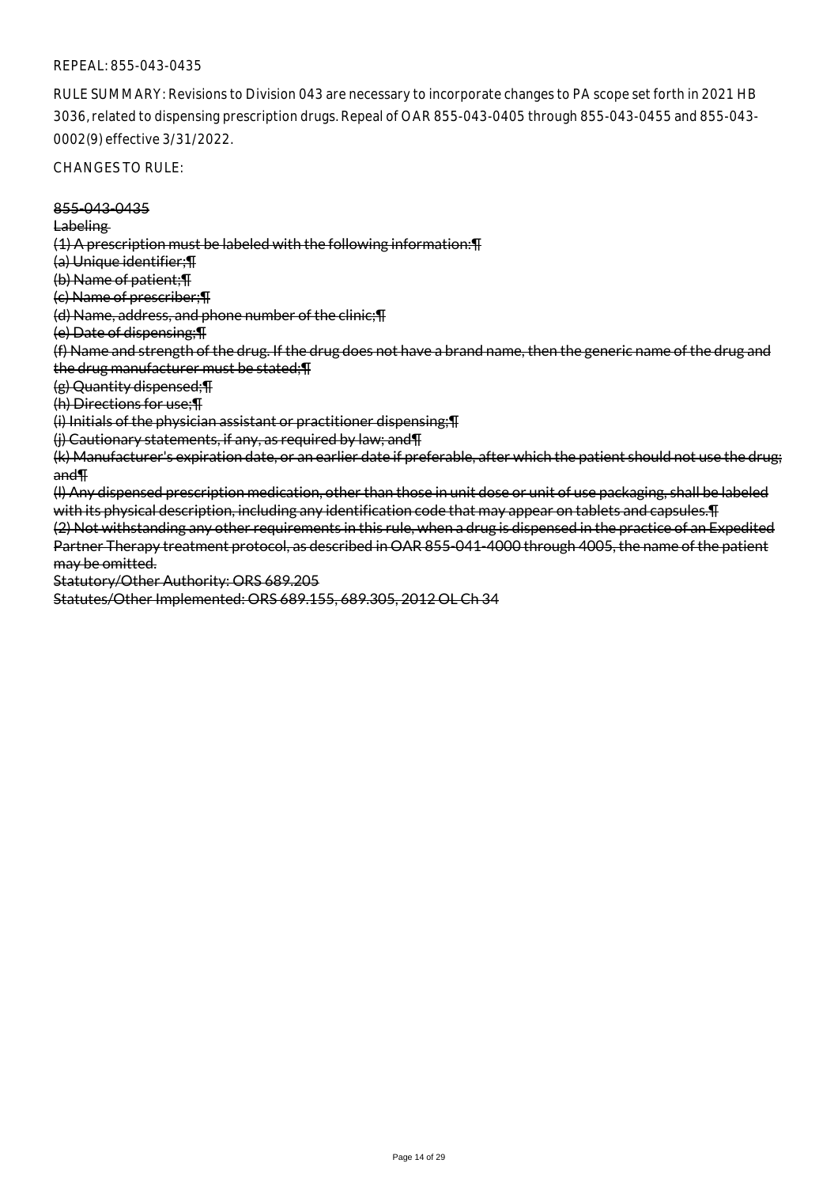RULE SUMMARY: Revisions to Division 043 are necessary to incorporate changes to PA scope set forth in 2021 HB 3036, related to dispensing prescription drugs. Repeal of OAR 855-043-0405 through 855-043-0455 and 855-043- 0002(9) effective 3/31/2022.

CHANGES TO RULE:

855-043-0435 Labeling (1) A prescription must be labeled with the following information:¶ (a) Unique identifier;¶ (b) Name of patient;¶ (c) Name of prescriber;¶ (d) Name, address, and phone number of the clinic;¶ (e) Date of dispensing;¶ (f) Name and strength of the drug. If the drug does not have a brand name, then the generic name of the drug and the drug manufacturer must be stated;¶ (g) Quantity dispensed;¶ (h) Directions for use;¶ (i) Initials of the physician assistant or practitioner dispensing;¶ (j) Cautionary statements, if any, as required by law; and¶ (k) Manufacturer's expiration date, or an earlier date if preferable, after which the patient should not use the drug; and¶ (l) Any dispensed prescription medication, other than those in unit dose or unit of use packaging, shall be labeled with its physical description, including any identification code that may appear on tablets and capsules.¶ (2) Not withstanding any other requirements in this rule, when a drug is dispensed in the practice of an Expedited Partner Therapy treatment protocol, as described in OAR 855-041-4000 through 4005, the name of the patient may be omitted. Statutory/Other Authority: ORS 689.205 Statutes/Other Implemented: ORS 689.155, 689.305, 2012 OL Ch 34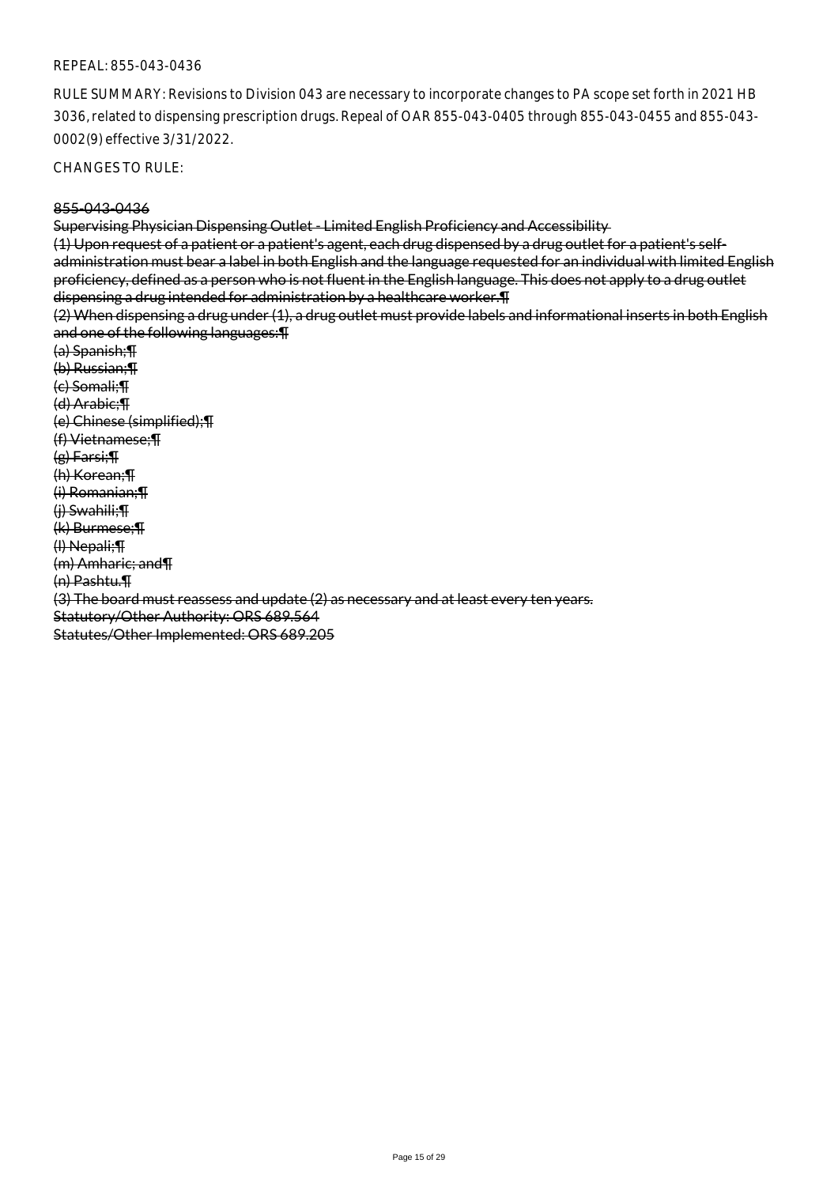RULE SUMMARY: Revisions to Division 043 are necessary to incorporate changes to PA scope set forth in 2021 HB 3036, related to dispensing prescription drugs. Repeal of OAR 855-043-0405 through 855-043-0455 and 855-043- 0002(9) effective 3/31/2022.

CHANGES TO RULE:

#### 855-043-0436

Supervising Physician Dispensing Outlet - Limited English Proficiency and Accessibility

(1) Upon request of a patient or a patient's agent, each drug dispensed by a drug outlet for a patient's selfadministration must bear a label in both English and the language requested for an individual with limited English proficiency, defined as a person who is not fluent in the English language. This does not apply to a drug outlet dispensing a drug intended for administration by a healthcare worker.¶

(2) When dispensing a drug under (1), a drug outlet must provide labels and informational inserts in both English and one of the following languages:¶

(a) Spanish;¶ (b) Russian;¶ (c) Somali;¶ (d) Arabic;¶ (e) Chinese (simplified);¶ (f) Vietnamese;¶ (g) Farsi;¶ (h) Korean;¶ (i) Romanian;¶ (j) Swahili;¶ (k) Burmese;¶ (l) Nepali;¶ (m) Amharic; and¶ (n) Pashtu.¶ (3) The board must reassess and update (2) as necessary and at least every ten years. Statutory/Other Authority: ORS 689.564 Statutes/Other Implemented: ORS 689.205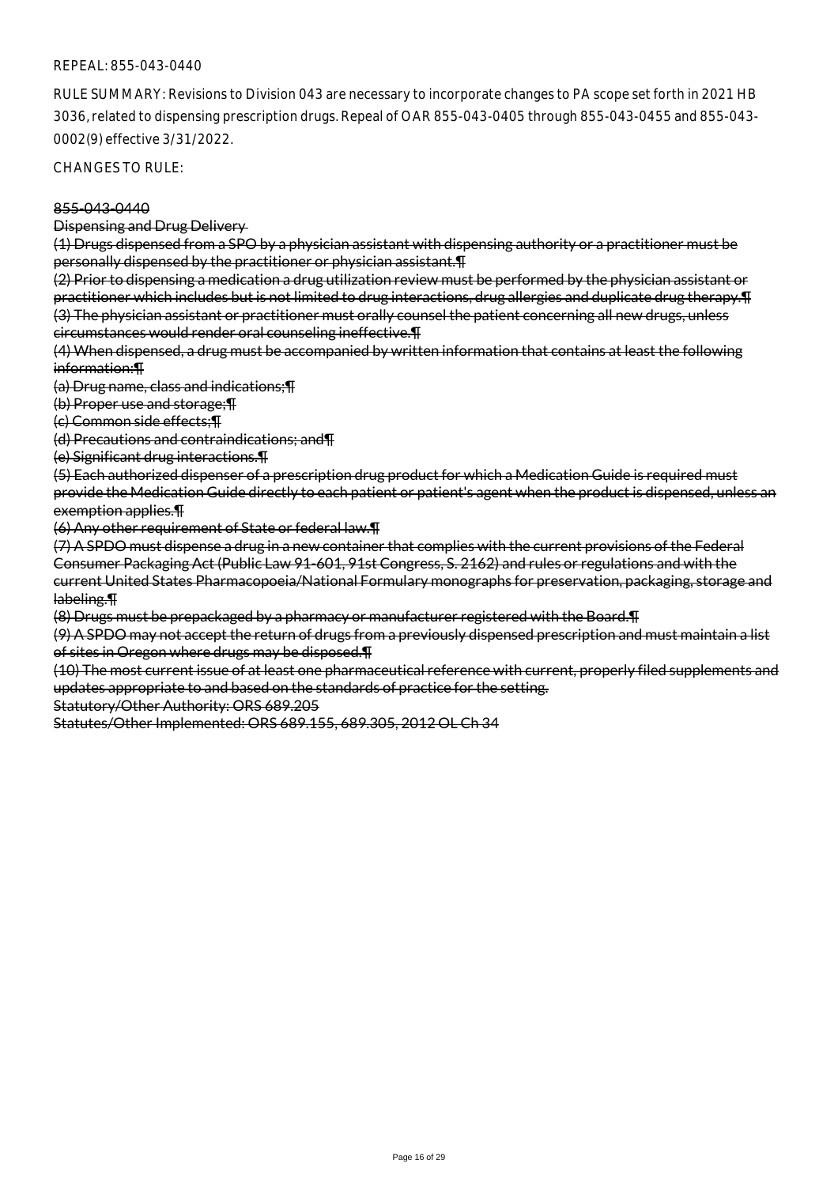RULE SUMMARY: Revisions to Division 043 are necessary to incorporate changes to PA scope set forth in 2021 HB 3036, related to dispensing prescription drugs. Repeal of OAR 855-043-0405 through 855-043-0455 and 855-043- 0002(9) effective 3/31/2022.

CHANGES TO RULE:

### 855-043-0440

Dispensing and Drug Delivery

(1) Drugs dispensed from a SPO by a physician assistant with dispensing authority or a practitioner must be personally dispensed by the practitioner or physician assistant.¶

(2) Prior to dispensing a medication a drug utilization review must be performed by the physician assistant or practitioner which includes but is not limited to drug interactions, drug allergies and duplicate drug therapy.¶ (3) The physician assistant or practitioner must orally counsel the patient concerning all new drugs, unless circumstances would render oral counseling ineffective.¶

(4) When dispensed, a drug must be accompanied by written information that contains at least the following information:¶

(a) Drug name, class and indications;¶

(b) Proper use and storage;¶

(c) Common side effects;¶

(d) Precautions and contraindications; and¶

(e) Significant drug interactions.¶

(5) Each authorized dispenser of a prescription drug product for which a Medication Guide is required must provide the Medication Guide directly to each patient or patient's agent when the product is dispensed, unless an exemption applies.¶

(6) Any other requirement of State or federal law.¶

(7) A SPDO must dispense a drug in a new container that complies with the current provisions of the Federal Consumer Packaging Act (Public Law 91-601, 91st Congress, S. 2162) and rules or regulations and with the current United States Pharmacopoeia/National Formulary monographs for preservation, packaging, storage and labeling.¶

(8) Drugs must be prepackaged by a pharmacy or manufacturer registered with the Board.¶

(9) A SPDO may not accept the return of drugs from a previously dispensed prescription and must maintain a list of sites in Oregon where drugs may be disposed.¶

(10) The most current issue of at least one pharmaceutical reference with current, properly filed supplements and updates appropriate to and based on the standards of practice for the setting.

Statutory/Other Authority: ORS 689.205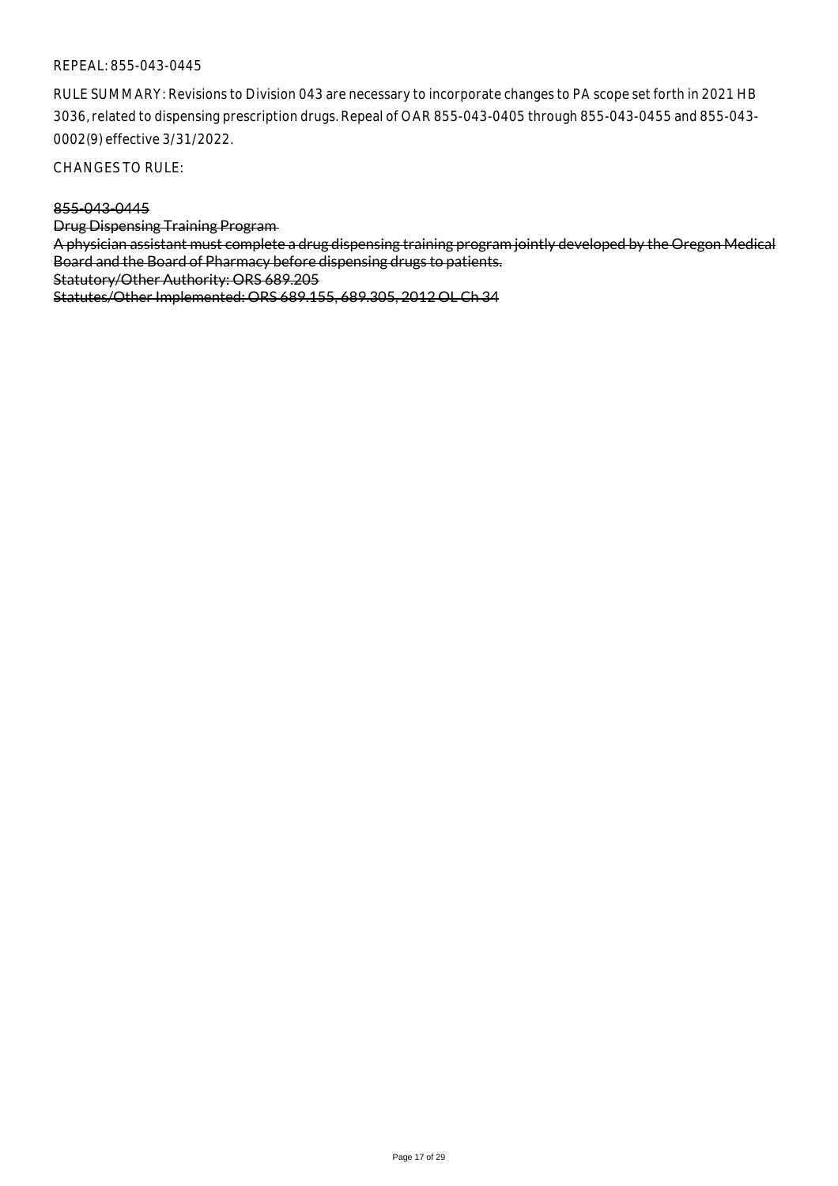RULE SUMMARY: Revisions to Division 043 are necessary to incorporate changes to PA scope set forth in 2021 HB 3036, related to dispensing prescription drugs. Repeal of OAR 855-043-0405 through 855-043-0455 and 855-043- 0002(9) effective 3/31/2022.

CHANGES TO RULE:

### 855-043-0445

Drug Dispensing Training Program

A physician assistant must complete a drug dispensing training program jointly developed by the Oregon Medical Board and the Board of Pharmacy before dispensing drugs to patients.

Statutory/Other Authority: ORS 689.205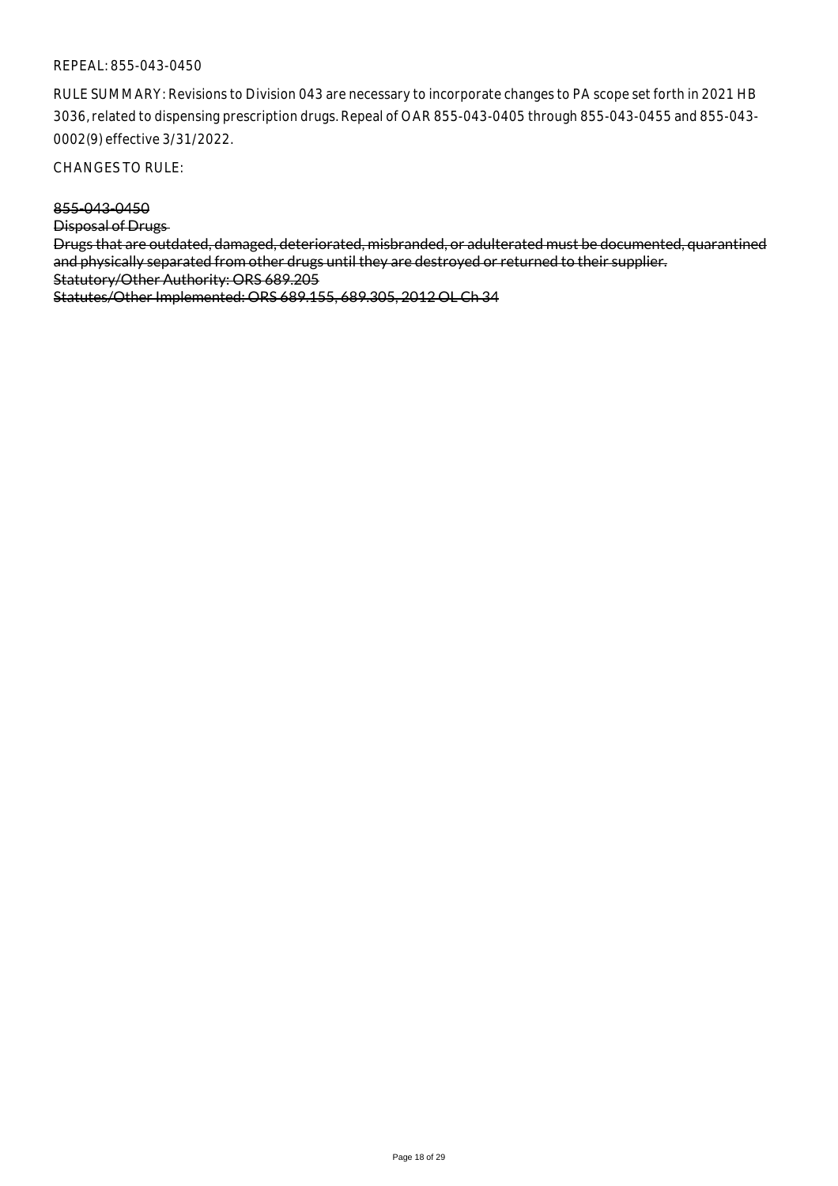RULE SUMMARY: Revisions to Division 043 are necessary to incorporate changes to PA scope set forth in 2021 HB 3036, related to dispensing prescription drugs. Repeal of OAR 855-043-0405 through 855-043-0455 and 855-043- 0002(9) effective 3/31/2022.

CHANGES TO RULE:

855-043-0450

Disposal of Drugs

Drugs that are outdated, damaged, deteriorated, misbranded, or adulterated must be documented, quarantined and physically separated from other drugs until they are destroyed or returned to their supplier. Statutory/Other Authority: ORS 689.205 Statutes/Other Implemented: ORS 689.155, 689.305, 2012 OL Ch 34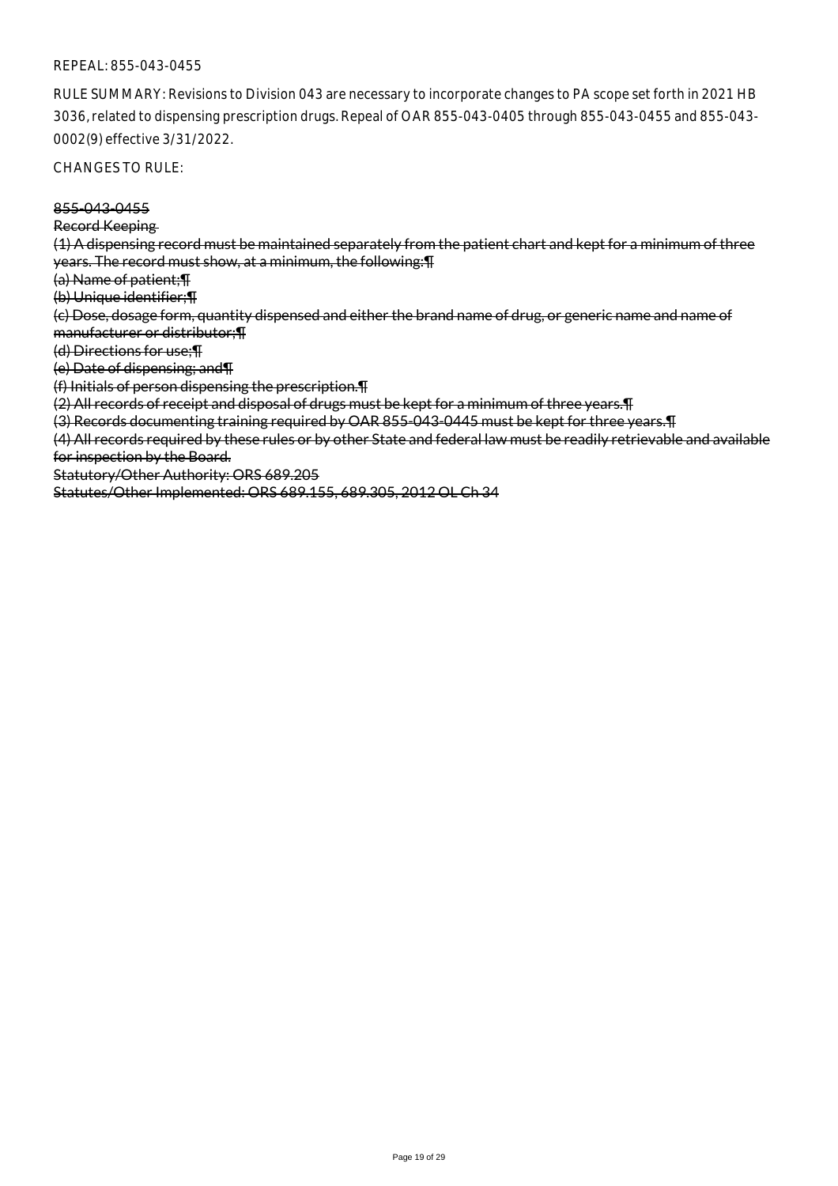RULE SUMMARY: Revisions to Division 043 are necessary to incorporate changes to PA scope set forth in 2021 HB 3036, related to dispensing prescription drugs. Repeal of OAR 855-043-0405 through 855-043-0455 and 855-043- 0002(9) effective 3/31/2022.

CHANGES TO RULE:

855-043-0455

Record Keeping

(1) A dispensing record must be maintained separately from the patient chart and kept for a minimum of three years. The record must show, at a minimum, the following:¶

(a) Name of patient;¶

(b) Unique identifier;¶

(c) Dose, dosage form, quantity dispensed and either the brand name of drug, or generic name and name of manufacturer or distributor;¶

(d) Directions for use;¶

(e) Date of dispensing; and¶

(f) Initials of person dispensing the prescription.¶

(2) All records of receipt and disposal of drugs must be kept for a minimum of three years.¶

(3) Records documenting training required by OAR 855-043-0445 must be kept for three years.¶

(4) All records required by these rules or by other State and federal law must be readily retrievable and available for inspection by the Board.

Statutory/Other Authority: ORS 689.205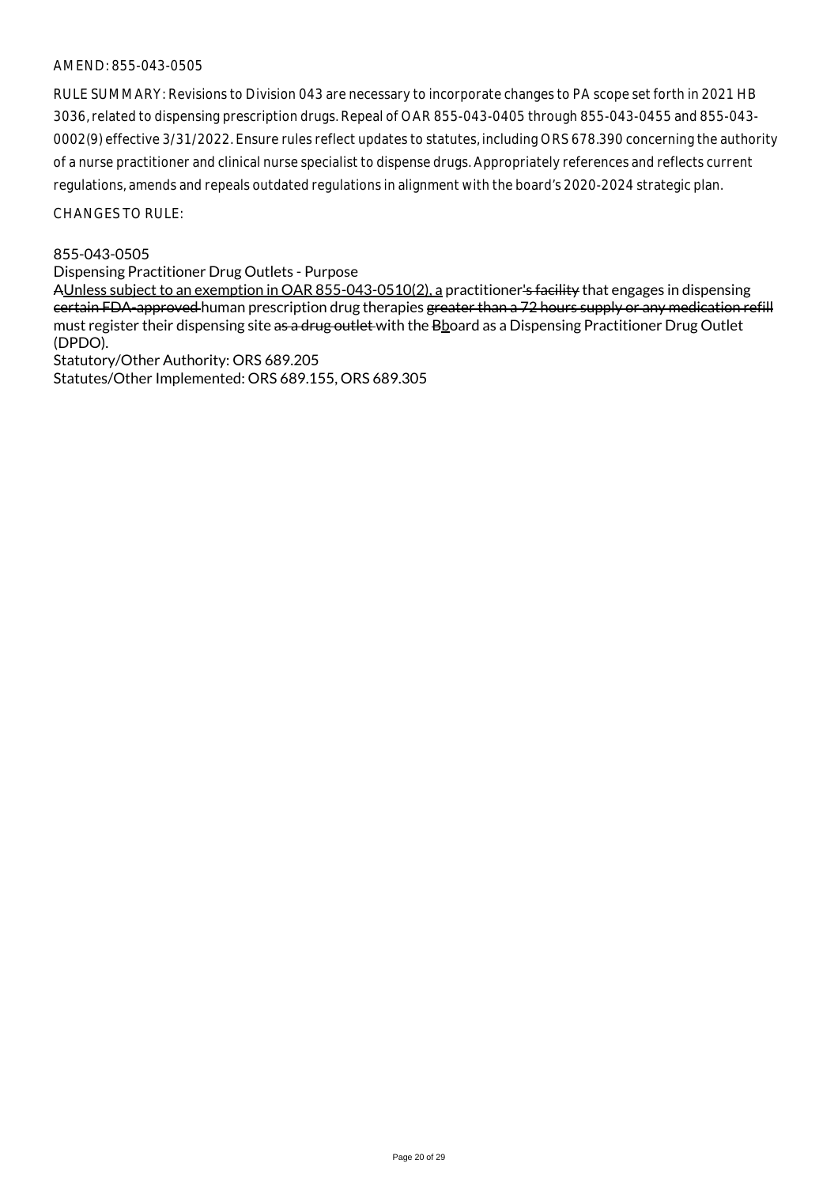RULE SUMMARY: Revisions to Division 043 are necessary to incorporate changes to PA scope set forth in 2021 HB 3036, related to dispensing prescription drugs. Repeal of OAR 855-043-0405 through 855-043-0455 and 855-043- 0002(9) effective 3/31/2022. Ensure rules reflect updates to statutes, including ORS 678.390 concerning the authority of a nurse practitioner and clinical nurse specialist to dispense drugs. Appropriately references and reflects current regulations, amends and repeals outdated regulations in alignment with the board's 2020-2024 strategic plan.

CHANGES TO RULE:

## 855-043-0505

Dispensing Practitioner Drug Outlets - Purpose

AUnless subject to an exemption in OAR 855-043-0510(2), a practitioner's facility that engages in dispensing certain FDA-approved human prescription drug therapies greater than a 72 hours supply or any medication refill must register their dispensing site as a drug outlet with the Bboard as a Dispensing Practitioner Drug Outlet (DPDO).

Statutory/Other Authority: ORS 689.205 Statutes/Other Implemented: ORS 689.155, ORS 689.305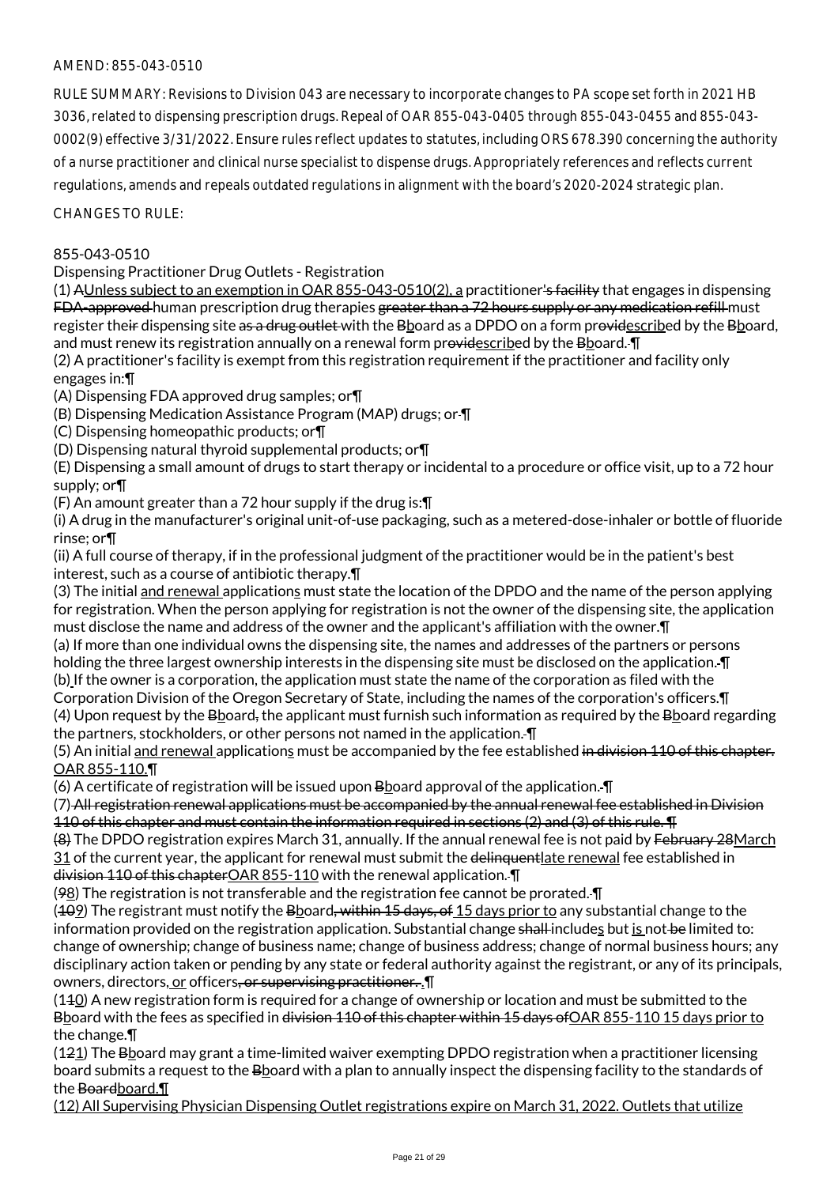RULE SUMMARY: Revisions to Division 043 are necessary to incorporate changes to PA scope set forth in 2021 HB 3036, related to dispensing prescription drugs. Repeal of OAR 855-043-0405 through 855-043-0455 and 855-043- 0002(9) effective 3/31/2022. Ensure rules reflect updates to statutes, including ORS 678.390 concerning the authority of a nurse practitioner and clinical nurse specialist to dispense drugs. Appropriately references and reflects current regulations, amends and repeals outdated regulations in alignment with the board's 2020-2024 strategic plan.

CHANGES TO RULE:

## 855-043-0510

Dispensing Practitioner Drug Outlets - Registration

(1) AUnless subject to an exemption in OAR 855-043-0510(2), a practitioner's facility that engages in dispensing FDA-approved human prescription drug therapies greater than a 72 hours supply or any medication refill must register their dispensing site as a drug outlet with the Bboard as a DPDO on a form providescribed by the Bboard, and must renew its registration annually on a renewal form providescribed by the Bboard. In

(2) A practitioner's facility is exempt from this registration requirement if the practitioner and facility only engages in:¶

(A) Dispensing FDA approved drug samples; or¶

(B) Dispensing Medication Assistance Program (MAP) drugs; or ¶

(C) Dispensing homeopathic products; or¶

(D) Dispensing natural thyroid supplemental products; or¶

(E) Dispensing a small amount of drugs to start therapy or incidental to a procedure or office visit, up to a 72 hour supply; or¶

(F) An amount greater than a 72 hour supply if the drug is:¶

(i) A drug in the manufacturer's original unit-of-use packaging, such as a metered-dose-inhaler or bottle of fluoride rinse; or¶

(ii) A full course of therapy, if in the professional judgment of the practitioner would be in the patient's best interest, such as a course of antibiotic therapy.¶

(3) The initial and renewal applications must state the location of the DPDO and the name of the person applying for registration. When the person applying for registration is not the owner of the dispensing site, the application must disclose the name and address of the owner and the applicant's affiliation with the owner.¶

(a) If more than one individual owns the dispensing site, the names and addresses of the partners or persons holding the three largest ownership interests in the dispensing site must be disclosed on the application. ¶

(b) If the owner is a corporation, the application must state the name of the corporation as filed with the Corporation Division of the Oregon Secretary of State, including the names of the corporation's officers.¶

(4) Upon request by the  $B\Delta$  and, the applicant must furnish such information as required by the  $B\Delta$  and regarding the partners, stockholders, or other persons not named in the application.  $\P$ 

(5) An initial and renewal applications must be accompanied by the fee established in division 110 of this chapter. OAR 855-110.¶

(6) A certificate of registration will be issued upon B board approval of the application.  $\P$ 

(7) All registration renewal applications must be accompanied by the annual renewal fee established in Division 110 of this chapter and must contain the information required in sections (2) and (3) of this rule. ¶

(8) The DPDO registration expires March 31, annually. If the annual renewal fee is not paid by February 28March 31 of the current year, the applicant for renewal must submit the delinguentlate renewal fee established in division 110 of this chapterOAR 855-110 with the renewal application. ¶

(98) The registration is not transferable and the registration fee cannot be prorated. ¶

 $(402)$  The registrant must notify the Bboard, within 15 days, of 15 days prior to any substantial change to the information provided on the registration application. Substantial change shall includes but is not be limited to: change of ownership; change of business name; change of business address; change of normal business hours; any disciplinary action taken or pending by any state or federal authority against the registrant, or any of its principals, owners, directors, or officers, or supervising practitioner. . In

(110) A new registration form is required for a change of ownership or location and must be submitted to the Bboard with the fees as specified in <del>division 110 of this chapter within 15 days of</del> OAR 855-110 15 days prior to the change.¶

 $(121)$  The B board may grant a time-limited waiver exempting DPDO registration when a practitioner licensing board submits a request to the Bboard with a plan to annually inspect the dispensing facility to the standards of the Boardboard. T

(12) All Supervising Physician Dispensing Outlet registrations expire on March 31, 2022. Outlets that utilize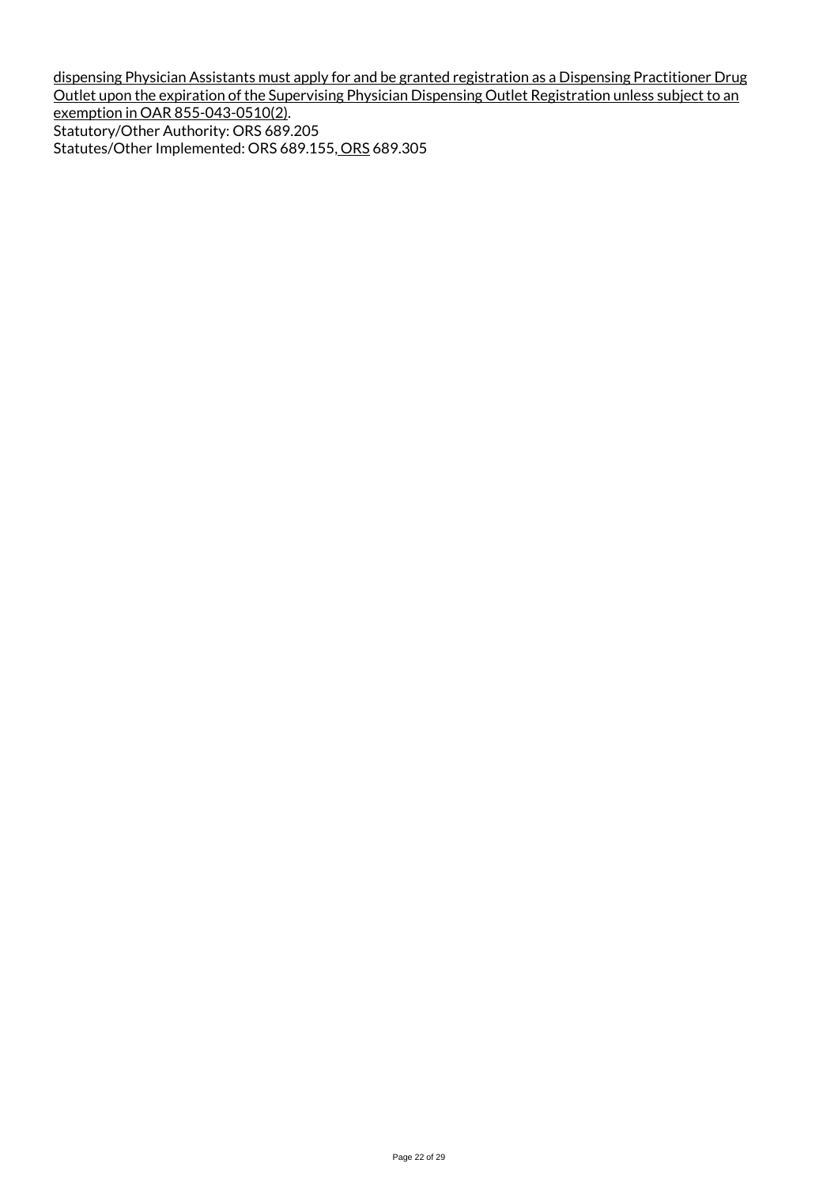dispensing Physician Assistants must apply for and be granted registration as a Dispensing Practitioner Drug Outlet upon the expiration of the Supervising Physician Dispensing Outlet Registration unless subject to an exemption in OAR 855-043-0510(2). Statutory/Other Authority: ORS 689.205 Statutes/Other Implemented: ORS 689.155, ORS 689.305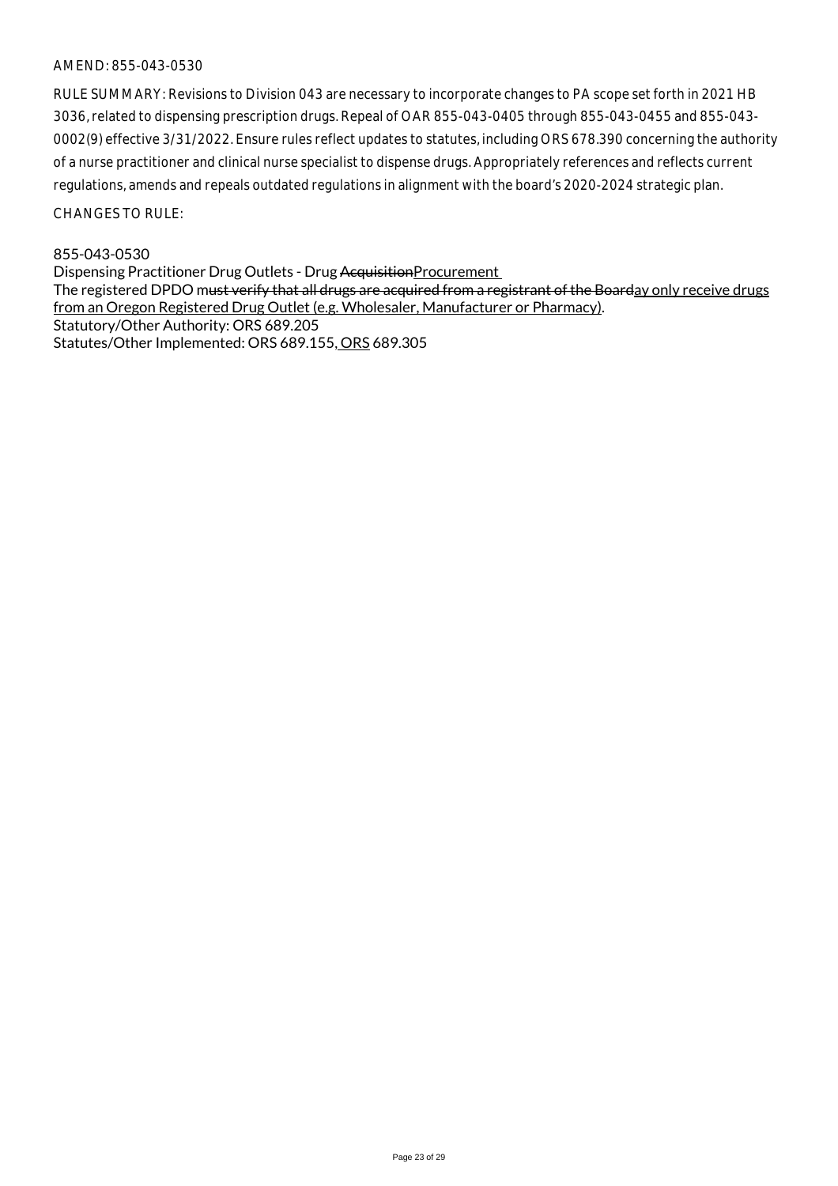RULE SUMMARY: Revisions to Division 043 are necessary to incorporate changes to PA scope set forth in 2021 HB 3036, related to dispensing prescription drugs. Repeal of OAR 855-043-0405 through 855-043-0455 and 855-043- 0002(9) effective 3/31/2022. Ensure rules reflect updates to statutes, including ORS 678.390 concerning the authority of a nurse practitioner and clinical nurse specialist to dispense drugs. Appropriately references and reflects current regulations, amends and repeals outdated regulations in alignment with the board's 2020-2024 strategic plan.

CHANGES TO RULE:

## 855-043-0530

Dispensing Practitioner Drug Outlets - Drug Acquisition Procurement The registered DPDO m<del>ust verify that all drugs are acquired from a registrant of the Boarday only receive drugs</del> from an Oregon Registered Drug Outlet (e.g. Wholesaler, Manufacturer or Pharmacy). Statutory/Other Authority: ORS 689.205 Statutes/Other Implemented: ORS 689.155, ORS 689.305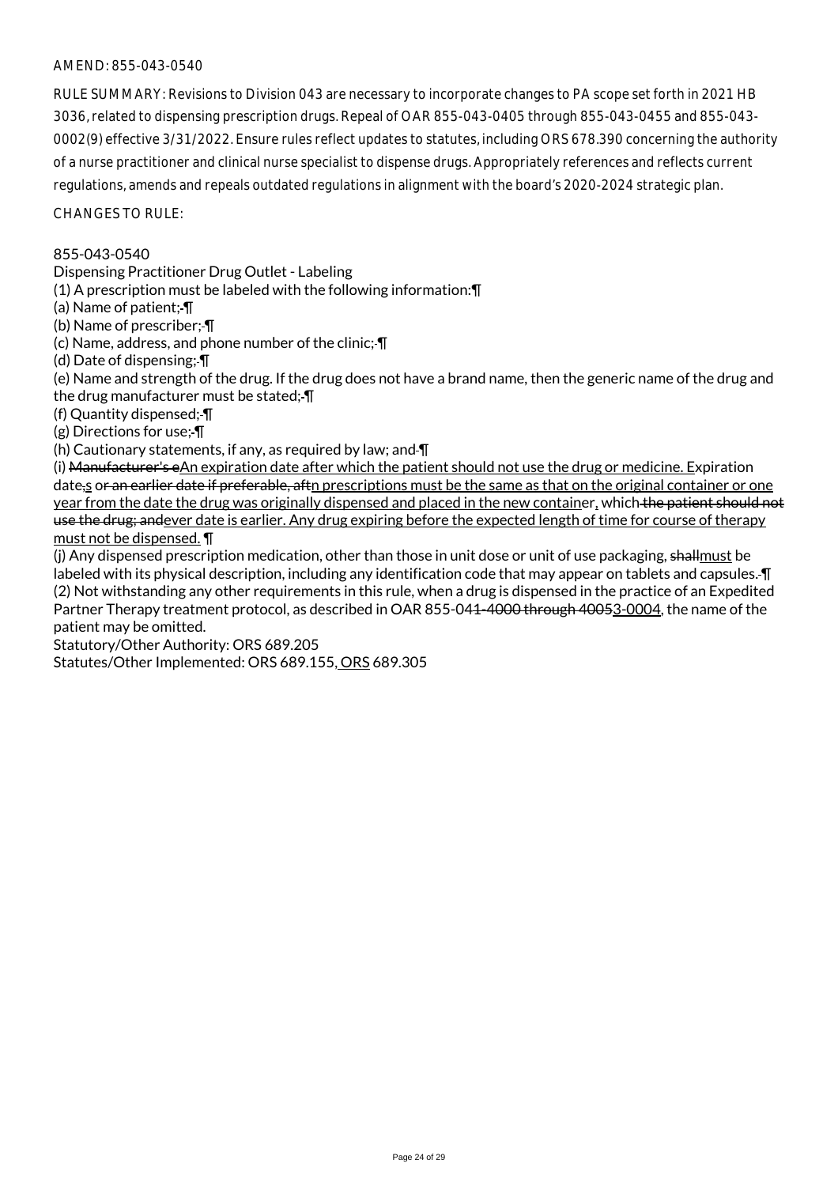RULE SUMMARY: Revisions to Division 043 are necessary to incorporate changes to PA scope set forth in 2021 HB 3036, related to dispensing prescription drugs. Repeal of OAR 855-043-0405 through 855-043-0455 and 855-043- 0002(9) effective 3/31/2022. Ensure rules reflect updates to statutes, including ORS 678.390 concerning the authority of a nurse practitioner and clinical nurse specialist to dispense drugs. Appropriately references and reflects current regulations, amends and repeals outdated regulations in alignment with the board's 2020-2024 strategic plan.

CHANGES TO RULE:

## 855-043-0540

Dispensing Practitioner Drug Outlet - Labeling

(1) A prescription must be labeled with the following information:¶

(a) Name of patient; ¶

(b) Name of prescriber; ¶

(c) Name, address, and phone number of the clinic;  $\P$ 

(d) Date of dispensing; ¶

(e) Name and strength of the drug. If the drug does not have a brand name, then the generic name of the drug and the drug manufacturer must be stated; ¶

(f) Quantity dispensed; ¶

(g) Directions for use; ¶

(h) Cautionary statements, if any, as required by law; and  $\P$ 

(i) Manufacturer's eAn expiration date after which the patient should not use the drug or medicine. Expiration date, or an earlier date if preferable, aftn prescriptions must be the same as that on the original container or one year from the date the drug was originally dispensed and placed in the new container, which the patient should not use the drug; andever date is earlier. Any drug expiring before the expected length of time for course of therapy must not be dispensed. ¶

(i) Any dispensed prescription medication, other than those in unit dose or unit of use packaging, shallmust be labeled with its physical description, including any identification code that may appear on tablets and capsules. ¶ (2) Not withstanding any other requirements in this rule, when a drug is dispensed in the practice of an Expedited Partner Therapy treatment protocol, as described in OAR 855-041-4000 through 40053-0004, the name of the patient may be omitted.

Statutory/Other Authority: ORS 689.205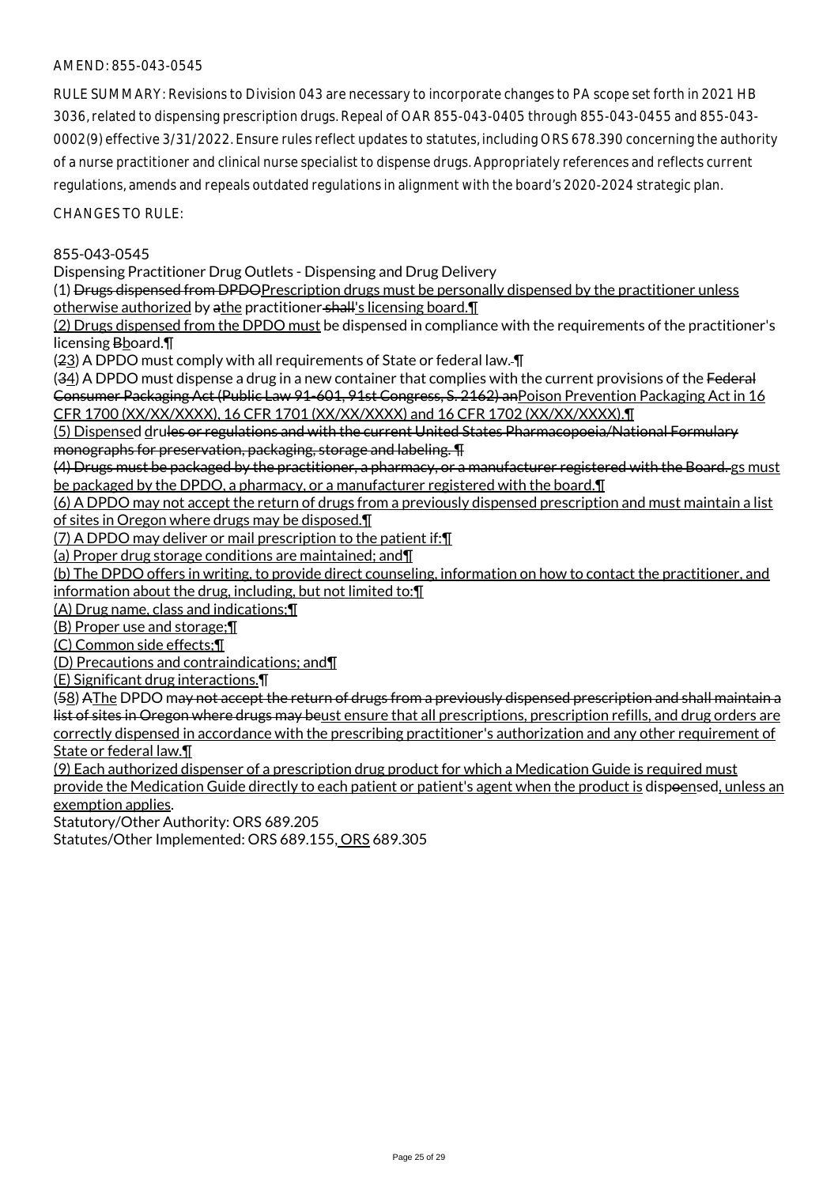RULE SUMMARY: Revisions to Division 043 are necessary to incorporate changes to PA scope set forth in 2021 HB 3036, related to dispensing prescription drugs. Repeal of OAR 855-043-0405 through 855-043-0455 and 855-043- 0002(9) effective 3/31/2022. Ensure rules reflect updates to statutes, including ORS 678.390 concerning the authority of a nurse practitioner and clinical nurse specialist to dispense drugs. Appropriately references and reflects current regulations, amends and repeals outdated regulations in alignment with the board's 2020-2024 strategic plan.

 $CHANGFS TO RIIF$ 

## 855-043-0545

Dispensing Practitioner Drug Outlets - Dispensing and Drug Delivery

(1) Drugs dispensed from DPDOPrescription drugs must be personally dispensed by the practitioner unless otherwise authorized by athe practitioner shall's licensing board.¶

(2) Drugs dispensed from the DPDO must be dispensed in compliance with the requirements of the practitioner's licensing Bboard.¶

(23) A DPDO must comply with all requirements of State or federal law. ¶

(34) A DPDO must dispense a drug in a new container that complies with the current provisions of the Federal Consumer Packaging Act (Public Law 91-601, 91st Congress, S. 2162) anPoison Prevention Packaging Act in 16 CFR 1700 (XX/XX/XXXX), 16 CFR 1701 (XX/XX/XXXX) and 16 CFR 1702 (XX/XX/XXXX).¶

(5) Dispensed drules or regulations and with the current United States Pharmacopoeia/National Formulary monographs for preservation, packaging, storage and labeling. ¶

(4) Drugs must be packaged by the practitioner, a pharmacy, or a manufacturer registered with the Board. gs must be packaged by the DPDO, a pharmacy, or a manufacturer registered with the board. I

(6) A DPDO may not accept the return of drugs from a previously dispensed prescription and must maintain a list of sites in Oregon where drugs may be disposed.¶

(7) A DPDO may deliver or mail prescription to the patient if:¶

(a) Proper drug storage conditions are maintained; and¶

(b) The DPDO offers in writing, to provide direct counseling, information on how to contact the practitioner, and information about the drug, including, but not limited to:¶

(A) Drug name, class and indications;¶

(B) Proper use and storage;¶

(C) Common side effects;¶

(D) Precautions and contraindications; and¶

(E) Significant drug interactions.¶

(58) AThe DPDO may not accept the return of drugs from a previously dispensed prescription and shall maintain a list of sites in Oregon where drugs may beust ensure that all prescriptions, prescription refills, and drug orders are correctly dispensed in accordance with the prescribing practitioner's authorization and any other requirement of State or federal law.¶

(9) Each authorized dispenser of a prescription drug product for which a Medication Guide is required must provide the Medication Guide directly to each patient or patient's agent when the product is dispoensed, unless an exemption applies.

Statutory/Other Authority: ORS 689.205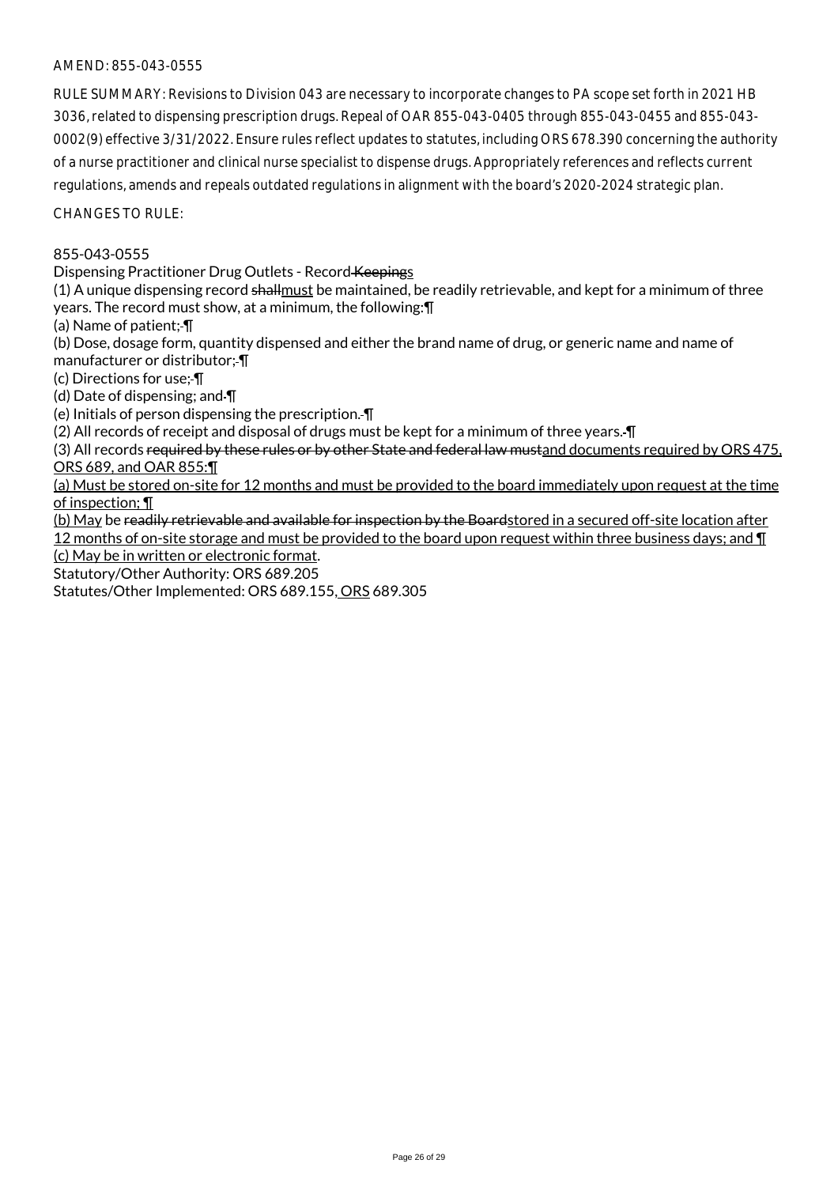RULE SUMMARY: Revisions to Division 043 are necessary to incorporate changes to PA scope set forth in 2021 HB 3036, related to dispensing prescription drugs. Repeal of OAR 855-043-0405 through 855-043-0455 and 855-043- 0002(9) effective 3/31/2022. Ensure rules reflect updates to statutes, including ORS 678.390 concerning the authority of a nurse practitioner and clinical nurse specialist to dispense drugs. Appropriately references and reflects current regulations, amends and repeals outdated regulations in alignment with the board's 2020-2024 strategic plan.

CHANGES TO RULE:

### 855-043-0555

Dispensing Practitioner Drug Outlets - Record Keepings

(1) A unique dispensing record shallmust be maintained, be readily retrievable, and kept for a minimum of three years. The record must show, at a minimum, the following:¶

(a) Name of patient; ¶

(b) Dose, dosage form, quantity dispensed and either the brand name of drug, or generic name and name of manufacturer or distributor; ¶

(c) Directions for use; ¶

(d) Date of dispensing; and ¶

(e) Initials of person dispensing the prescription. ¶

(2) All records of receipt and disposal of drugs must be kept for a minimum of three years. ¶

(3) All records required by these rules or by other State and federal law mustand documents required by ORS 475, ORS 689, and OAR 855:¶

(a) Must be stored on-site for 12 months and must be provided to the board immediately upon request at the time of inspection; ¶

(b) May be readily retrievable and available for inspection by the Boardstored in a secured off-site location after 12 months of on-site storage and must be provided to the board upon request within three business days; and ¶

(c) May be in written or electronic format.

Statutory/Other Authority: ORS 689.205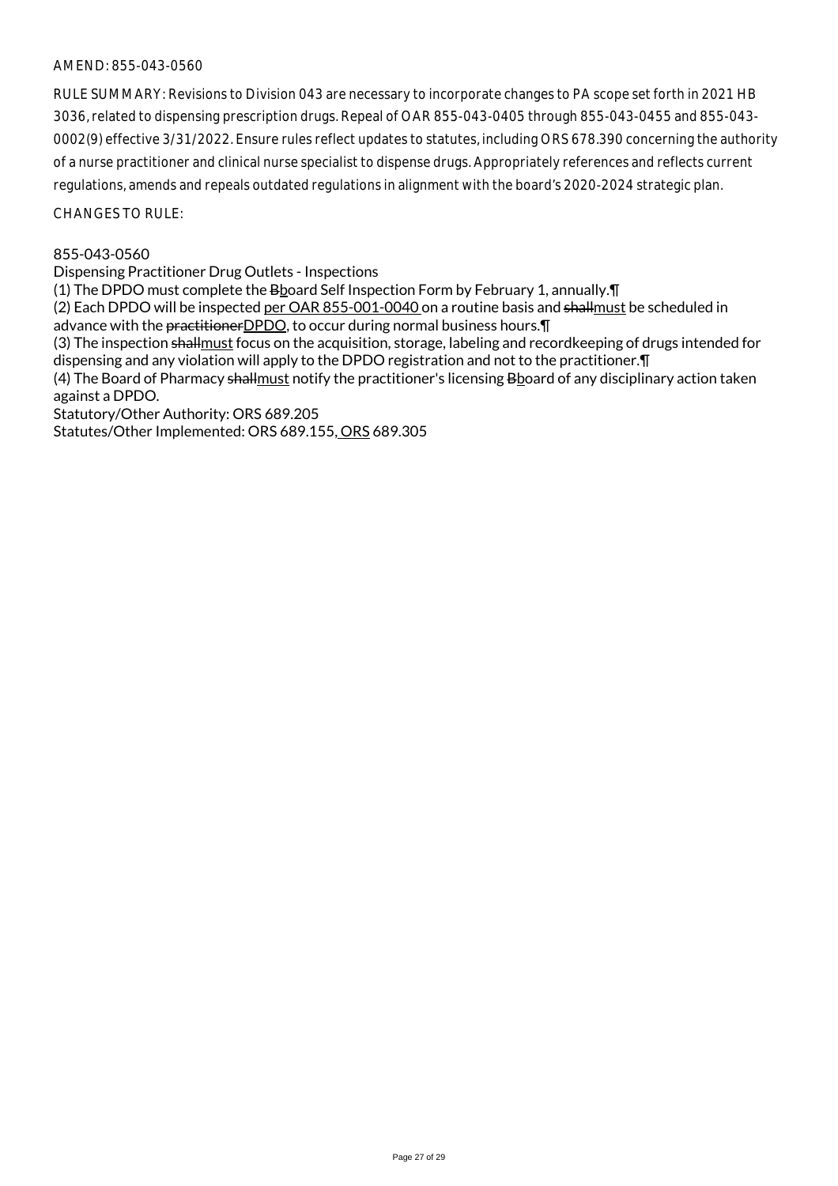RULE SUMMARY: Revisions to Division 043 are necessary to incorporate changes to PA scope set forth in 2021 HB 3036, related to dispensing prescription drugs. Repeal of OAR 855-043-0405 through 855-043-0455 and 855-043- 0002(9) effective 3/31/2022. Ensure rules reflect updates to statutes, including ORS 678.390 concerning the authority of a nurse practitioner and clinical nurse specialist to dispense drugs. Appropriately references and reflects current regulations, amends and repeals outdated regulations in alignment with the board's 2020-2024 strategic plan.

CHANGES TO RULE:

## 855-043-0560

Dispensing Practitioner Drug Outlets - Inspections

(1) The DPDO must complete the Bboard Self Inspection Form by February 1, annually. [1]

(2) Each DPDO will be inspected per OAR 855-001-0040 on a routine basis and shallmust be scheduled in advance with the practitioner DPDO, to occur during normal business hours. [1]

(3) The inspection shallmust focus on the acquisition, storage, labeling and recordkeeping of drugs intended for dispensing and any violation will apply to the DPDO registration and not to the practitioner.¶

(4) The Board of Pharmacy shallmust notify the practitioner's licensing Bboard of any disciplinary action taken against a DPDO.

Statutory/Other Authority: ORS 689.205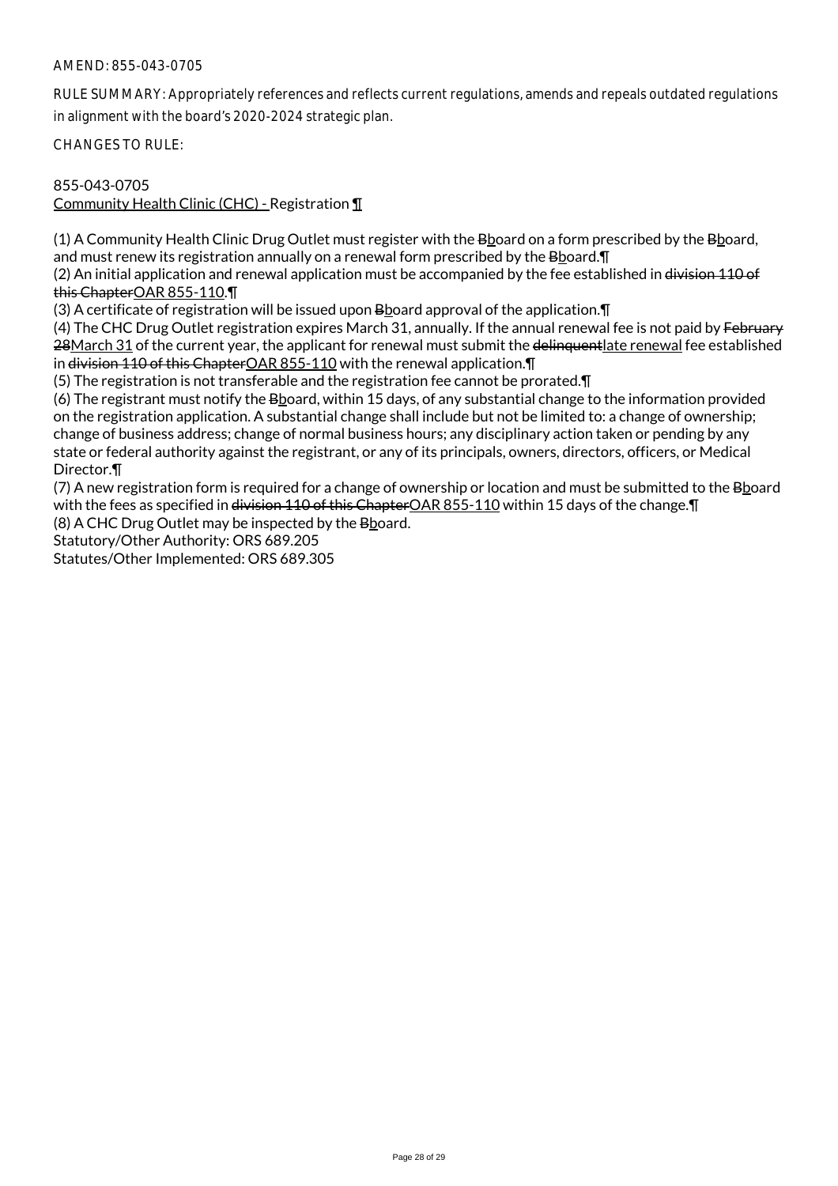RULE SUMMARY: Appropriately references and reflects current regulations, amends and repeals outdated regulations in alignment with the board's 2020-2024 strategic plan.

CHANGES TO RULE:

# 855-043-0705 Community Health Clinic (CHC) - Registration ¶

(1) A Community Health Clinic Drug Outlet must register with the Bboard on a form prescribed by the Bboard, and must renew its registration annually on a renewal form prescribed by the Bboard.¶

(2) An initial application and renewal application must be accompanied by the fee established in division 110 of this ChapterOAR 855-110.¶

(3) A certificate of registration will be issued upon  $B_{2}$  bard approval of the application.  $\P$ 

(4) The CHC Drug Outlet registration expires March 31, annually. If the annual renewal fee is not paid by February 28March 31 of the current year, the applicant for renewal must submit the delinquentlate renewal fee established in division 110 of this ChapterOAR 855-110 with the renewal application. In

(5) The registration is not transferable and the registration fee cannot be prorated.¶

(6) The registrant must notify the Bboard, within 15 days, of any substantial change to the information provided on the registration application. A substantial change shall include but not be limited to: a change of ownership; change of business address; change of normal business hours; any disciplinary action taken or pending by any state or federal authority against the registrant, or any of its principals, owners, directors, officers, or Medical Director.¶

(7) A new registration form is required for a change of ownership or location and must be submitted to the Bboard with the fees as specified in <del>division 110 of this Chapter</del>OAR 855-110 within 15 days of the change. The strip in the strip in the change. The system of the change of the change of the change of the system of the system o

(8) A CHC Drug Outlet may be inspected by the Bboard.

Statutory/Other Authority: ORS 689.205

Statutes/Other Implemented: ORS 689.305